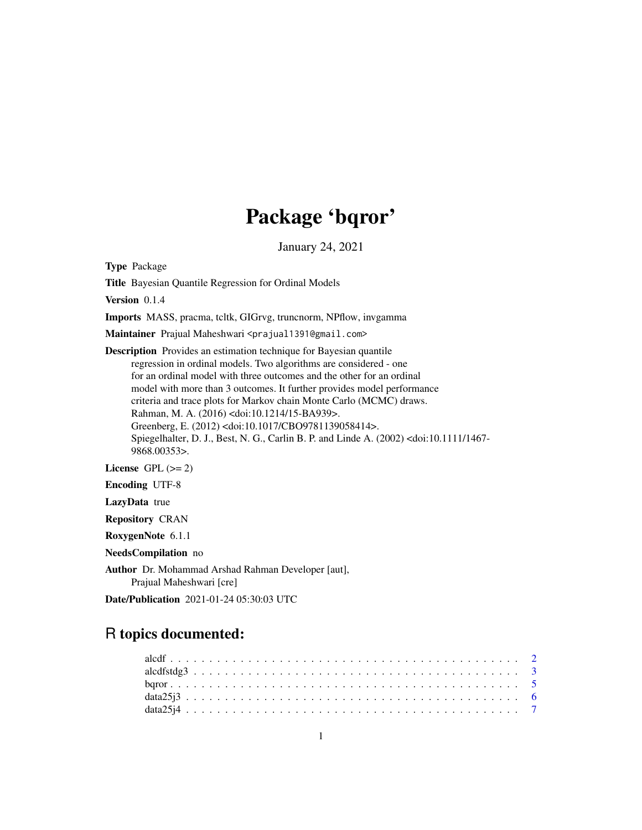# Package 'bqror'

January 24, 2021

<span id="page-0-0"></span>Type Package

Title Bayesian Quantile Regression for Ordinal Models

Version 0.1.4

Imports MASS, pracma, tcltk, GIGrvg, truncnorm, NPflow, invgamma

Maintainer Prajual Maheshwari <prajual1391@gmail.com>

Description Provides an estimation technique for Bayesian quantile regression in ordinal models. Two algorithms are considered - one for an ordinal model with three outcomes and the other for an ordinal model with more than 3 outcomes. It further provides model performance criteria and trace plots for Markov chain Monte Carlo (MCMC) draws. Rahman, M. A. (2016) <doi:10.1214/15-BA939>. Greenberg, E. (2012) <doi:10.1017/CBO9781139058414>. Spiegelhalter, D. J., Best, N. G., Carlin B. P. and Linde A. (2002) <doi:10.1111/1467- 9868.00353>.

License GPL  $(>= 2)$ 

Encoding UTF-8

LazyData true

Repository CRAN

RoxygenNote 6.1.1

NeedsCompilation no

Author Dr. Mohammad Arshad Rahman Developer [aut], Prajual Maheshwari [cre]

Date/Publication 2021-01-24 05:30:03 UTC

# R topics documented: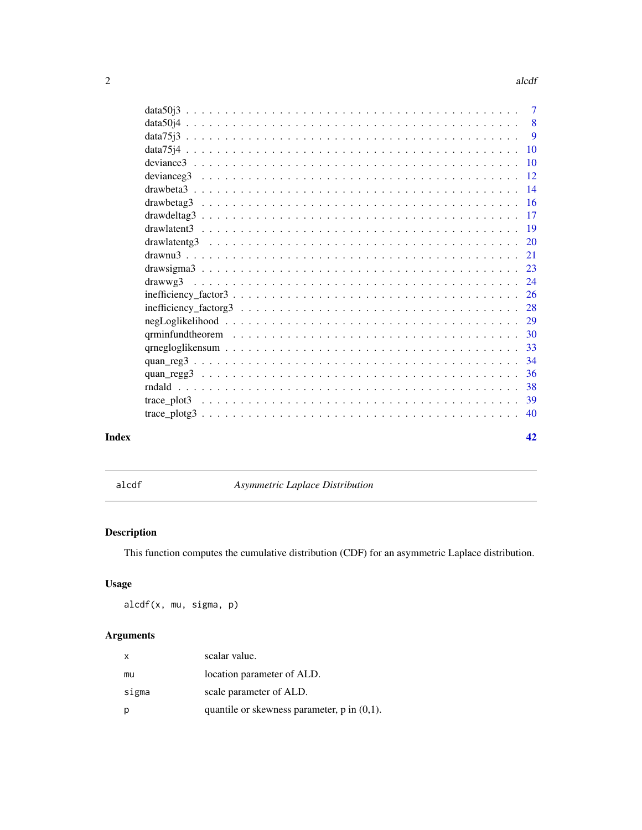#### $2 \cos \theta$  and  $\theta$  and  $\theta$  and  $\theta$  and  $\theta$  and  $\theta$  and  $\theta$  and  $\theta$  and  $\theta$  and  $\theta$  and  $\theta$  and  $\theta$  and  $\theta$  and  $\theta$  and  $\theta$  and  $\theta$  and  $\theta$  and  $\theta$  and  $\theta$  and  $\theta$  and  $\theta$  and  $\theta$  and  $\theta$  and  $\theta$  and  $\$

|       |                                                                                                               | $\tau$          |
|-------|---------------------------------------------------------------------------------------------------------------|-----------------|
|       |                                                                                                               | -8              |
|       |                                                                                                               | - 9             |
|       |                                                                                                               | <b>10</b>       |
|       |                                                                                                               | $\overline{10}$ |
|       |                                                                                                               | <sup>12</sup>   |
|       |                                                                                                               | 14              |
|       |                                                                                                               | 16              |
|       |                                                                                                               | 17              |
|       |                                                                                                               | -19             |
|       |                                                                                                               | <b>20</b>       |
|       |                                                                                                               | 21              |
|       |                                                                                                               | 23              |
|       | drawwg3                                                                                                       |                 |
|       |                                                                                                               |                 |
|       |                                                                                                               |                 |
|       |                                                                                                               |                 |
|       | qrminfundtheorem $\ldots \ldots \ldots \ldots \ldots \ldots \ldots \ldots \ldots \ldots \ldots \ldots \ldots$ | 30              |
|       |                                                                                                               | 33              |
|       |                                                                                                               | 34              |
|       |                                                                                                               | 36              |
|       |                                                                                                               | 38              |
|       |                                                                                                               | 39              |
|       |                                                                                                               | 40              |
| Index |                                                                                                               | 42              |

<span id="page-1-1"></span>alcdf *Asymmetric Laplace Distribution*

# Description

This function computes the cumulative distribution (CDF) for an asymmetric Laplace distribution.

# Usage

alcdf(x, mu, sigma, p)

# Arguments

| x     | scalar value.                                    |
|-------|--------------------------------------------------|
| mu    | location parameter of ALD.                       |
| sigma | scale parameter of ALD.                          |
| р     | quantile or skewness parameter, $p$ in $(0,1)$ . |

<span id="page-1-0"></span>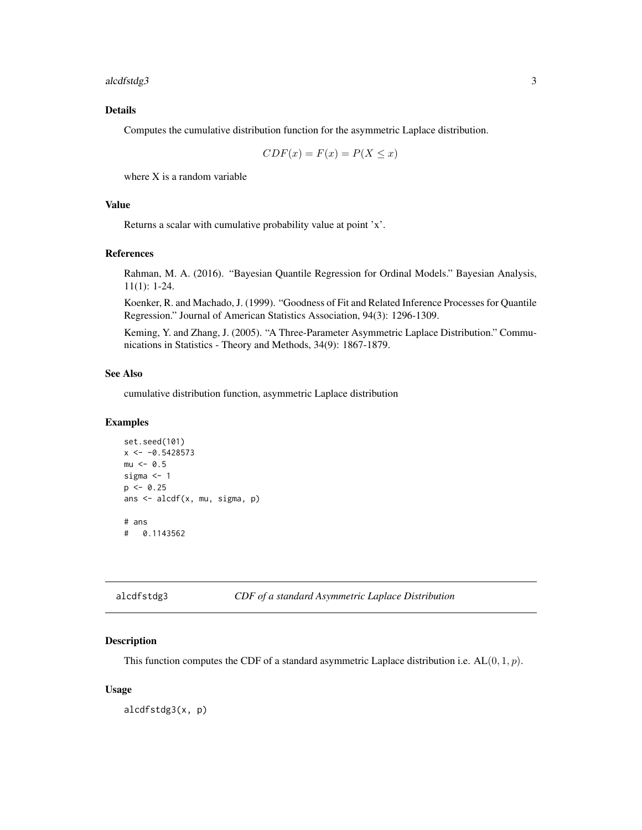<span id="page-2-0"></span>alcdfstdg3 3

# Details

Computes the cumulative distribution function for the asymmetric Laplace distribution.

$$
CDF(x) = F(x) = P(X \le x)
$$

where X is a random variable

# Value

Returns a scalar with cumulative probability value at point 'x'.

# References

Rahman, M. A. (2016). "Bayesian Quantile Regression for Ordinal Models." Bayesian Analysis, 11(1): 1-24.

Koenker, R. and Machado, J. (1999). "Goodness of Fit and Related Inference Processes for Quantile Regression." Journal of American Statistics Association, 94(3): 1296-1309.

Keming, Y. and Zhang, J. (2005). "A Three-Parameter Asymmetric Laplace Distribution." Communications in Statistics - Theory and Methods, 34(9): 1867-1879.

# See Also

cumulative distribution function, asymmetric Laplace distribution

#### Examples

```
set.seed(101)
x \le -0.5428573mu < -0.5sigma <-1p \le -0.25ans <- alcdf(x, mu, sigma, p)
# ans
# 0.1143562
```
<span id="page-2-1"></span>

### Description

This function computes the CDF of a standard asymmetric Laplace distribution i.e.  $AL(0, 1, p)$ .

#### Usage

alcdfstdg3(x, p)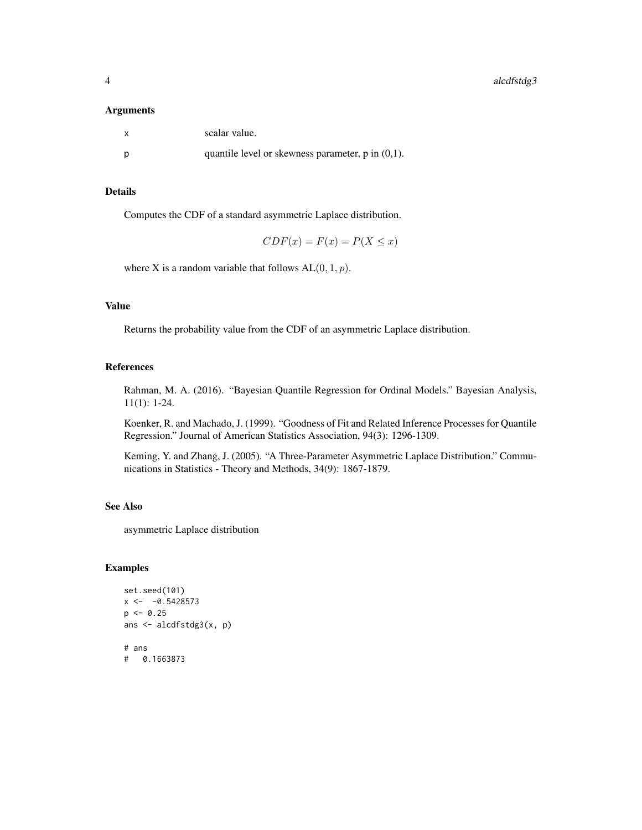#### Arguments

| scalar value.                                          |
|--------------------------------------------------------|
| quantile level or skewness parameter, $p$ in $(0,1)$ . |

# Details

Computes the CDF of a standard asymmetric Laplace distribution.

$$
CDF(x) = F(x) = P(X \le x)
$$

where X is a random variable that follows  $AL(0, 1, p)$ .

# Value

Returns the probability value from the CDF of an asymmetric Laplace distribution.

#### References

Rahman, M. A. (2016). "Bayesian Quantile Regression for Ordinal Models." Bayesian Analysis, 11(1): 1-24.

Koenker, R. and Machado, J. (1999). "Goodness of Fit and Related Inference Processes for Quantile Regression." Journal of American Statistics Association, 94(3): 1296-1309.

Keming, Y. and Zhang, J. (2005). "A Three-Parameter Asymmetric Laplace Distribution." Communications in Statistics - Theory and Methods, 34(9): 1867-1879.

# See Also

asymmetric Laplace distribution

```
set.seed(101)
x < -0.5428573p \le -0.25ans <- alcdfstdg3(x, p)
# ans
# 0.1663873
```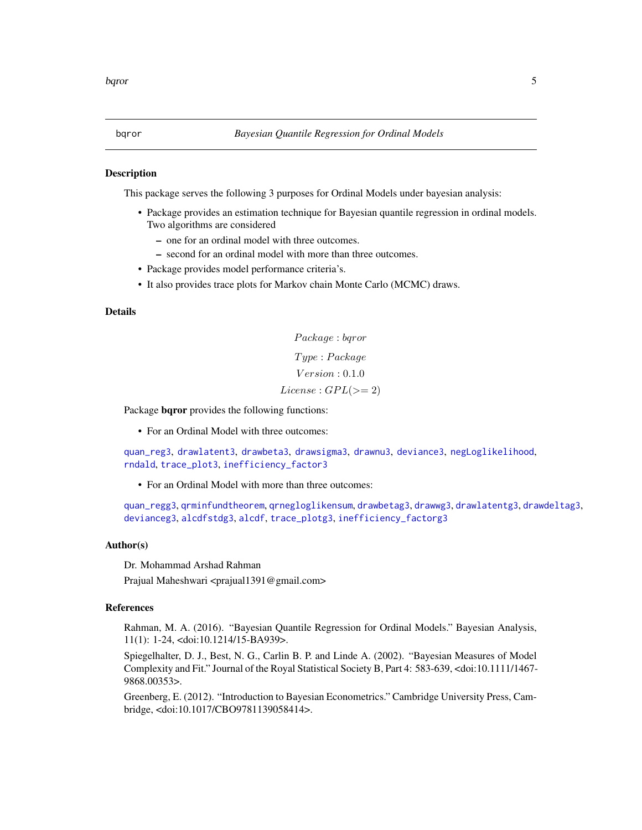#### <span id="page-4-0"></span>Description

This package serves the following 3 purposes for Ordinal Models under bayesian analysis:

- Package provides an estimation technique for Bayesian quantile regression in ordinal models. Two algorithms are considered
	- one for an ordinal model with three outcomes.
	- second for an ordinal model with more than three outcomes.
- Package provides model performance criteria's.
- It also provides trace plots for Markov chain Monte Carlo (MCMC) draws.

#### Details

Package : bqror T ype : P ackage  $Version: 0.1.0$  $License : GPL(>= 2)$ 

Package bqror provides the following functions:

• For an Ordinal Model with three outcomes:

[quan\\_reg3](#page-33-1), [drawlatent3](#page-18-1), [drawbeta3](#page-13-1), [drawsigma3](#page-22-1), [drawnu3](#page-20-1), [deviance3](#page-9-1), [negLoglikelihood](#page-28-1), [rndald](#page-37-1), [trace\\_plot3](#page-38-1), [inefficiency\\_factor3](#page-25-1)

• For an Ordinal Model with more than three outcomes:

[quan\\_regg3](#page-35-1), [qrminfundtheorem](#page-29-1), [qrnegloglikensum](#page-32-1), [drawbetag3](#page-15-1), [drawwg3](#page-23-1), [drawlatentg3](#page-19-1), [drawdeltag3](#page-16-1), [devianceg3](#page-11-1), [alcdfstdg3](#page-2-1), [alcdf](#page-1-1), [trace\\_plotg3](#page-39-1), [inefficiency\\_factorg3](#page-27-1)

#### Author(s)

Dr. Mohammad Arshad Rahman

Prajual Maheshwari <prajual1391@gmail.com>

#### References

Rahman, M. A. (2016). "Bayesian Quantile Regression for Ordinal Models." Bayesian Analysis, 11(1): 1-24, <doi:10.1214/15-BA939>.

Spiegelhalter, D. J., Best, N. G., Carlin B. P. and Linde A. (2002). "Bayesian Measures of Model Complexity and Fit." Journal of the Royal Statistical Society B, Part 4: 583-639, <doi:10.1111/1467- 9868.00353>.

Greenberg, E. (2012). "Introduction to Bayesian Econometrics." Cambridge University Press, Cambridge, <doi:10.1017/CBO9781139058414>.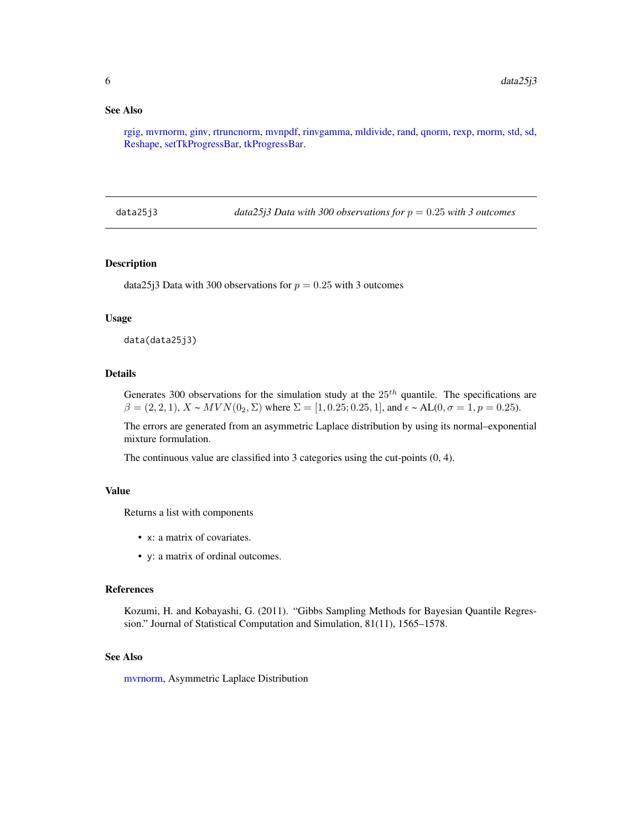# <span id="page-5-0"></span>See Also

[rgig,](#page-0-0) [mvrnorm,](#page-0-0) [ginv,](#page-0-0) [rtruncnorm,](#page-0-0) [mvnpdf,](#page-0-0) [rinvgamma,](#page-0-0) [mldivide,](#page-0-0) [rand,](#page-0-0) [qnorm,](#page-0-0) [rexp,](#page-0-0) [rnorm,](#page-0-0) [std,](#page-0-0) [sd,](#page-0-0) [Reshape,](#page-0-0) [setTkProgressBar,](#page-0-0) [tkProgressBar.](#page-0-0)

data25j3 *data25j3 Data with 300 observations for* p = 0.25 *with 3 outcomes*

#### Description

data25j3 Data with 300 observations for  $p = 0.25$  with 3 outcomes

#### Usage

data(data25j3)

#### Details

Generates 300 observations for the simulation study at the  $25<sup>th</sup>$  quantile. The specifications are  $\beta = (2, 2, 1), X \sim MVN(0_2, \Sigma)$  where  $\Sigma = [1, 0.25; 0.25, 1],$  and  $\epsilon \sim AL(0, \sigma = 1, p = 0.25)$ .

The errors are generated from an asymmetric Laplace distribution by using its normal–exponential mixture formulation.

The continuous value are classified into 3 categories using the cut-points (0, 4).

# Value

Returns a list with components

- x: a matrix of covariates.
- y: a matrix of ordinal outcomes.

# References

Kozumi, H. and Kobayashi, G. (2011). "Gibbs Sampling Methods for Bayesian Quantile Regression." Journal of Statistical Computation and Simulation, 81(11), 1565–1578.

#### See Also

[mvrnorm,](#page-0-0) Asymmetric Laplace Distribution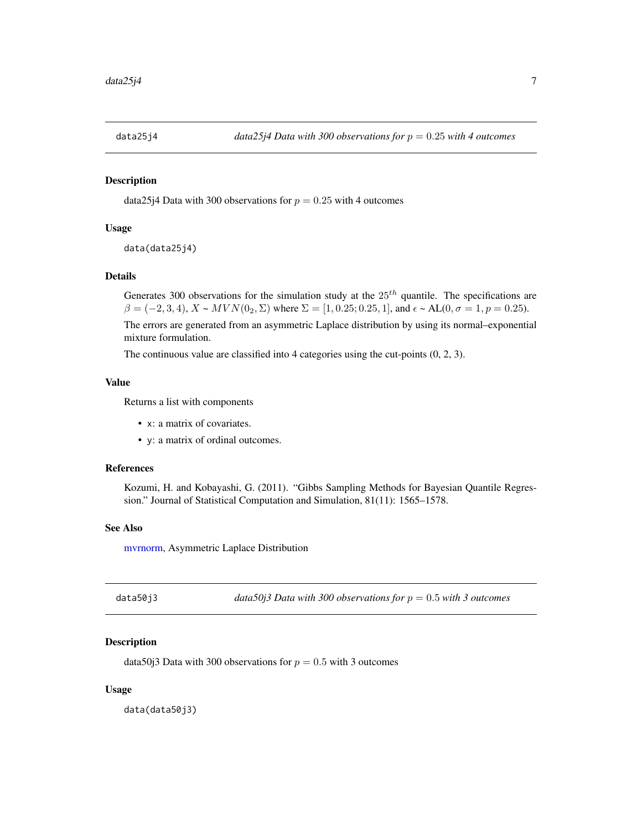<span id="page-6-0"></span>

# Description

data25 $i4$  Data with 300 observations for  $p = 0.25$  with 4 outcomes

# Usage

```
data(data25j4)
```
# Details

Generates 300 observations for the simulation study at the  $25<sup>th</sup>$  quantile. The specifications are  $\beta = (-2, 3, 4), X \sim MVN(0_2, \Sigma)$  where  $\Sigma = [1, 0.25; 0.25, 1],$  and  $\epsilon \sim AL(0, \sigma = 1, p = 0.25)$ .

The errors are generated from an asymmetric Laplace distribution by using its normal–exponential mixture formulation.

The continuous value are classified into 4 categories using the cut-points (0, 2, 3).

# Value

Returns a list with components

- x: a matrix of covariates.
- y: a matrix of ordinal outcomes.

# References

Kozumi, H. and Kobayashi, G. (2011). "Gibbs Sampling Methods for Bayesian Quantile Regression." Journal of Statistical Computation and Simulation, 81(11): 1565–1578.

#### See Also

[mvrnorm,](#page-0-0) Asymmetric Laplace Distribution

| data50j3 | data50j3 Data with 300 observations for $p = 0.5$ with 3 outcomes |  |
|----------|-------------------------------------------------------------------|--|
|----------|-------------------------------------------------------------------|--|

## Description

data50j3 Data with 300 observations for  $p = 0.5$  with 3 outcomes

#### Usage

data(data50j3)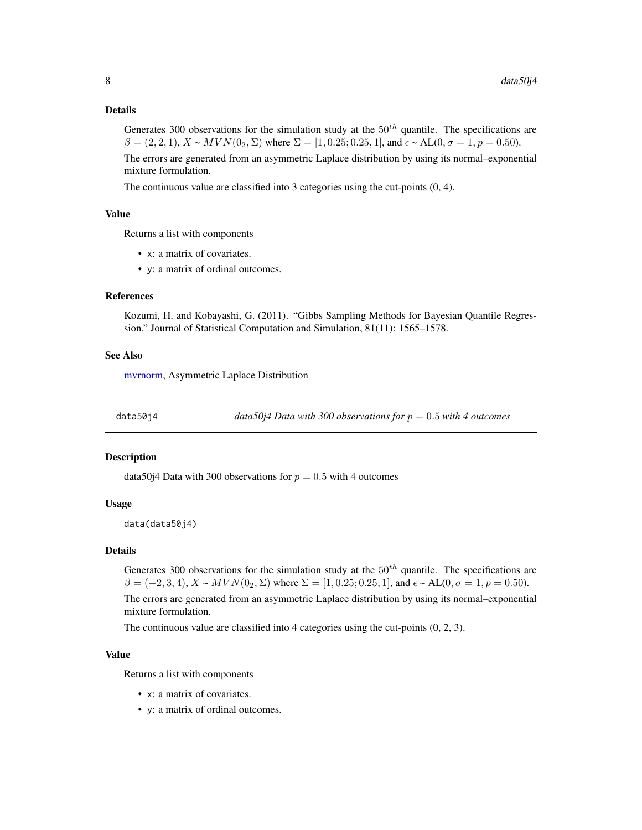#### <span id="page-7-0"></span>Details

Generates 300 observations for the simulation study at the  $50^{th}$  quantile. The specifications are  $\beta = (2, 2, 1), X \sim MVN(0_2, \Sigma)$  where  $\Sigma = [1, 0.25, 0.25, 1],$  and  $\epsilon \sim AL(0, \sigma = 1, p = 0.50).$ 

The errors are generated from an asymmetric Laplace distribution by using its normal–exponential mixture formulation.

The continuous value are classified into 3 categories using the cut-points (0, 4).

# Value

Returns a list with components

- x: a matrix of covariates.
- y: a matrix of ordinal outcomes.

#### References

Kozumi, H. and Kobayashi, G. (2011). "Gibbs Sampling Methods for Bayesian Quantile Regression." Journal of Statistical Computation and Simulation, 81(11): 1565–1578.

### See Also

[mvrnorm,](#page-0-0) Asymmetric Laplace Distribution

data50j4 *data50j4 Data with 300 observations for* p = 0.5 *with 4 outcomes*

#### **Description**

data50j4 Data with 300 observations for  $p = 0.5$  with 4 outcomes

#### Usage

```
data(data50j4)
```
#### Details

Generates 300 observations for the simulation study at the  $50<sup>th</sup>$  quantile. The specifications are  $\beta = (-2, 3, 4), X \sim MVN(0_2, \Sigma)$  where  $\Sigma = [1, 0.25; 0.25, 1]$ , and  $\epsilon \sim AL(0, \sigma = 1, p = 0.50)$ . The errors are generated from an asymmetric Laplace distribution by using its normal–exponential mixture formulation.

The continuous value are classified into 4 categories using the cut-points (0, 2, 3).

#### Value

Returns a list with components

- x: a matrix of covariates.
- y: a matrix of ordinal outcomes.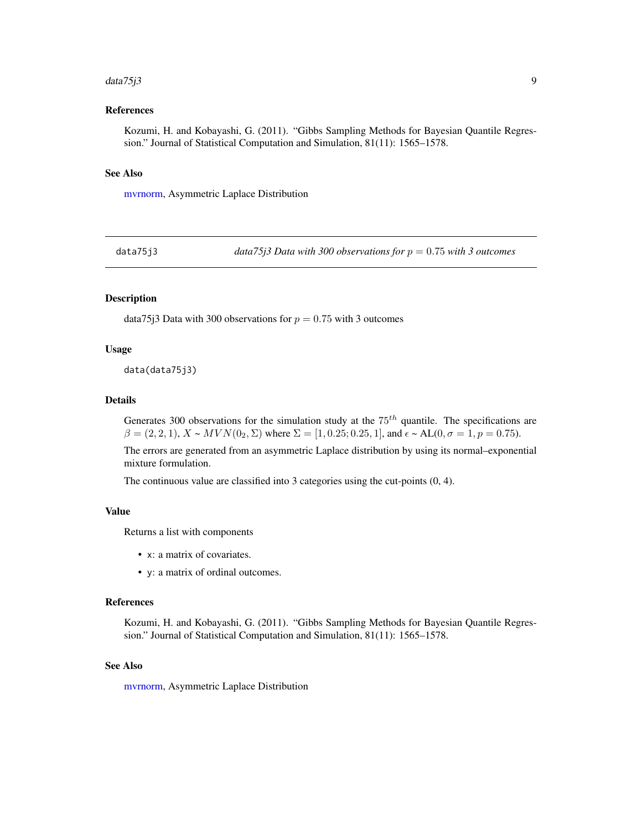#### <span id="page-8-0"></span> $data75j3$  9

# References

Kozumi, H. and Kobayashi, G. (2011). "Gibbs Sampling Methods for Bayesian Quantile Regression." Journal of Statistical Computation and Simulation, 81(11): 1565–1578.

#### See Also

[mvrnorm,](#page-0-0) Asymmetric Laplace Distribution

data75j3 *data75j3 Data with 300 observations for* p = 0.75 *with 3 outcomes*

## Description

data75 $j3$  Data with 300 observations for  $p = 0.75$  with 3 outcomes

#### Usage

data(data75j3)

#### Details

Generates 300 observations for the simulation study at the  $75<sup>th</sup>$  quantile. The specifications are  $\beta = (2, 2, 1), X \sim MVN(0_2, \Sigma)$  where  $\Sigma = [1, 0.25; 0.25, 1],$  and  $\epsilon \sim AL(0, \sigma = 1, p = 0.75).$ 

The errors are generated from an asymmetric Laplace distribution by using its normal–exponential mixture formulation.

The continuous value are classified into 3 categories using the cut-points (0, 4).

#### Value

Returns a list with components

- x: a matrix of covariates.
- y: a matrix of ordinal outcomes.

#### References

Kozumi, H. and Kobayashi, G. (2011). "Gibbs Sampling Methods for Bayesian Quantile Regression." Journal of Statistical Computation and Simulation, 81(11): 1565–1578.

#### See Also

[mvrnorm,](#page-0-0) Asymmetric Laplace Distribution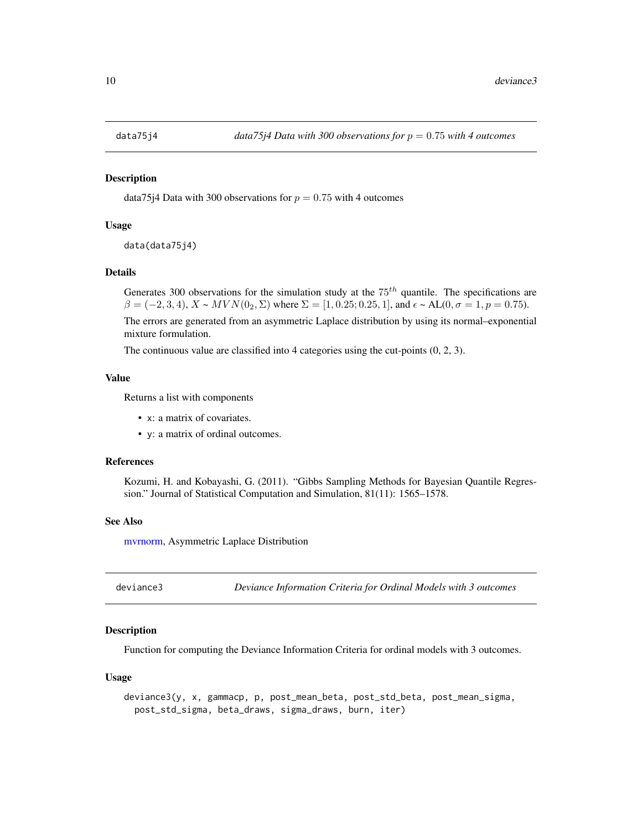<span id="page-9-0"></span>

# Description

data75j4 Data with 300 observations for  $p = 0.75$  with 4 outcomes

#### Usage

```
data(data75j4)
```
# Details

Generates 300 observations for the simulation study at the  $75<sup>th</sup>$  quantile. The specifications are  $\beta = (-2, 3, 4), X \sim MVN(0_2, \Sigma)$  where  $\Sigma = [1, 0.25; 0.25, 1],$  and  $\epsilon \sim AL(0, \sigma = 1, p = 0.75)$ .

The errors are generated from an asymmetric Laplace distribution by using its normal–exponential mixture formulation.

The continuous value are classified into 4 categories using the cut-points (0, 2, 3).

#### Value

Returns a list with components

- x: a matrix of covariates.
- y: a matrix of ordinal outcomes.

#### References

Kozumi, H. and Kobayashi, G. (2011). "Gibbs Sampling Methods for Bayesian Quantile Regression." Journal of Statistical Computation and Simulation, 81(11): 1565–1578.

#### See Also

[mvrnorm,](#page-0-0) Asymmetric Laplace Distribution

<span id="page-9-1"></span>deviance3 *Deviance Information Criteria for Ordinal Models with 3 outcomes*

#### **Description**

Function for computing the Deviance Information Criteria for ordinal models with 3 outcomes.

#### Usage

```
deviance3(y, x, gammacp, p, post_mean_beta, post_std_beta, post_mean_sigma,
 post_std_sigma, beta_draws, sigma_draws, burn, iter)
```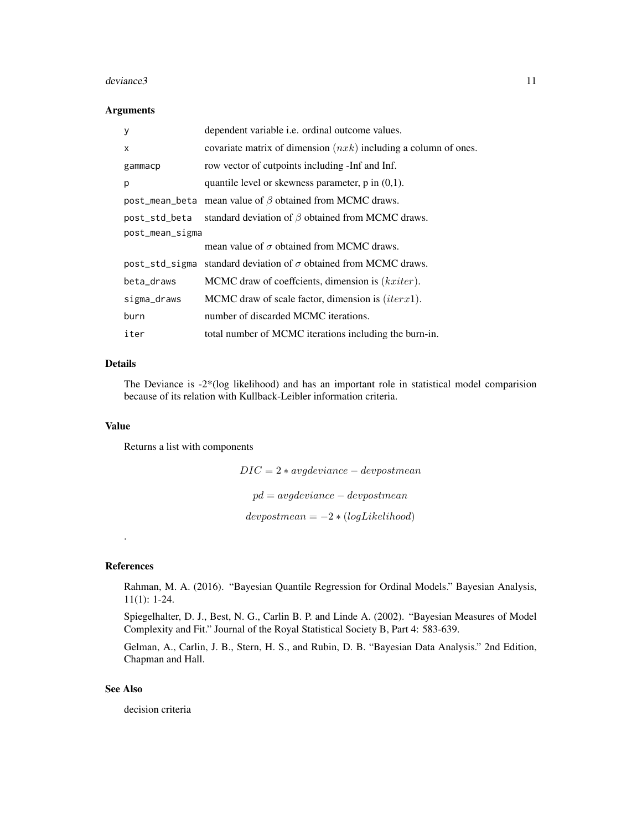#### deviance3 11

#### Arguments

| y               | dependent variable i.e. ordinal outcome values.                   |
|-----------------|-------------------------------------------------------------------|
| X               | covariate matrix of dimension $(nxk)$ including a column of ones. |
| gammacp         | row vector of cutpoints including -Inf and Inf.                   |
| p               | quantile level or skewness parameter, $p$ in $(0,1)$ .            |
| post_mean_beta  | mean value of $\beta$ obtained from MCMC draws.                   |
| post_std_beta   | standard deviation of $\beta$ obtained from MCMC draws.           |
| post_mean_sigma |                                                                   |
|                 | mean value of $\sigma$ obtained from MCMC draws.                  |
| post_std_sigma  | standard deviation of $\sigma$ obtained from MCMC draws.          |
| beta_draws      | MCMC draw of coeffcients, dimension is $(kxiter)$ .               |
| sigma_draws     | MCMC draw of scale factor, dimension is $(iterx1)$ .              |
| burn            | number of discarded MCMC iterations.                              |
| iter            | total number of MCMC iterations including the burn-in.            |

# Details

The Deviance is -2\*(log likelihood) and has an important role in statistical model comparision because of its relation with Kullback-Leibler information criteria.

# Value

Returns a list with components

 $DIC = 2 * avgdeviance - devpostmean$  $pd = avgdeviance - devpostmean$  $devpostmean = -2 * (logLikelihood)$ 

#### References

.

Rahman, M. A. (2016). "Bayesian Quantile Regression for Ordinal Models." Bayesian Analysis, 11(1): 1-24.

Spiegelhalter, D. J., Best, N. G., Carlin B. P. and Linde A. (2002). "Bayesian Measures of Model Complexity and Fit." Journal of the Royal Statistical Society B, Part 4: 583-639.

Gelman, A., Carlin, J. B., Stern, H. S., and Rubin, D. B. "Bayesian Data Analysis." 2nd Edition, Chapman and Hall.

# See Also

decision criteria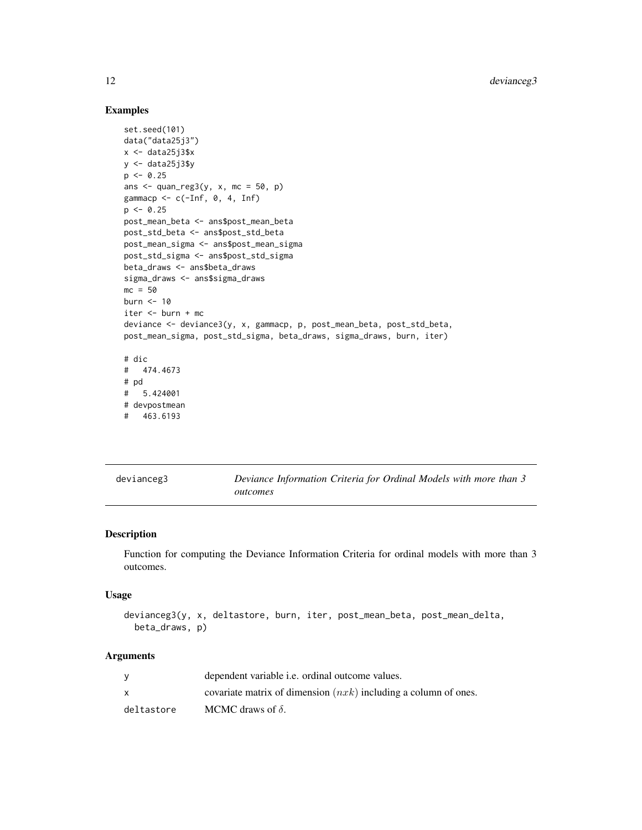## Examples

```
set.seed(101)
data("data25j3")
x < - data25j3$xy <- data25j3$y
p \leftarrow 0.25ans \leq quan_reg3(y, x, mc = 50, p)
gammacp \leq c(-Inf, 0, 4, Inf)
p \le -0.25post_mean_beta <- ans$post_mean_beta
post_std_beta <- ans$post_std_beta
post_mean_sigma <- ans$post_mean_sigma
post_std_sigma <- ans$post_std_sigma
beta_draws <- ans$beta_draws
sigma_draws <- ans$sigma_draws
mc = 50burn <- 10
iter <- burn + mc
deviance <- deviance3(y, x, gammacp, p, post_mean_beta, post_std_beta,
post_mean_sigma, post_std_sigma, beta_draws, sigma_draws, burn, iter)
# dic
# 474.4673
# pd
# 5.424001
# devpostmean
# 463.6193
```
<span id="page-11-1"></span>

|  |  |  | devianceg3 |
|--|--|--|------------|
|  |  |  |            |
|  |  |  |            |
|  |  |  |            |

Deviance Information Criteria for Ordinal Models with more than 3 *outcomes*

# Description

Function for computing the Deviance Information Criteria for ordinal models with more than 3 outcomes.

#### Usage

```
devianceg3(y, x, deltastore, burn, iter, post_mean_beta, post_mean_delta,
 beta_draws, p)
```
# Arguments

|            | dependent variable <i>i.e.</i> ordinal outcome values.            |
|------------|-------------------------------------------------------------------|
|            | covariate matrix of dimension $(nxk)$ including a column of ones. |
| deltastore | MCMC draws of $\delta$ .                                          |

<span id="page-11-0"></span>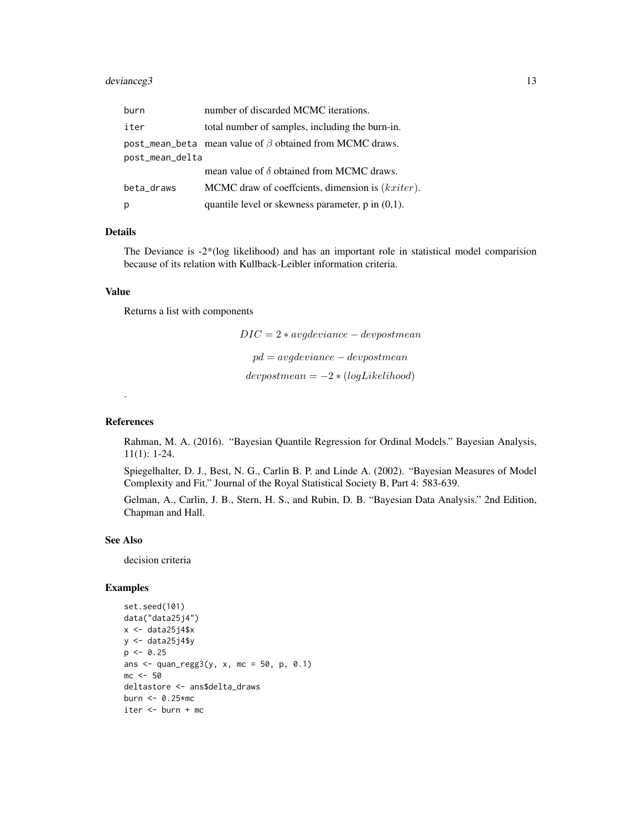# devianceg3 13

| burn            | number of discarded MCMC iterations.                           |
|-----------------|----------------------------------------------------------------|
| iter            | total number of samples, including the burn-in.                |
|                 | post_mean_beta mean value of $\beta$ obtained from MCMC draws. |
| post_mean_delta |                                                                |
|                 | mean value of $\delta$ obtained from MCMC draws.               |
| beta_draws      | MCMC draw of coeffcients, dimension is (kxiter).               |
| p               | quantile level or skewness parameter, $p$ in $(0,1)$ .         |

# Details

The Deviance is -2\*(log likelihood) and has an important role in statistical model comparision because of its relation with Kullback-Leibler information criteria.

#### Value

Returns a list with components

 $DIC = 2 * avgdeviance - devpostmean$  $pd = avgdeviance - devpostmean$  $devpostmean = -2 * (logLikelihood)$ 

# References

.

Rahman, M. A. (2016). "Bayesian Quantile Regression for Ordinal Models." Bayesian Analysis, 11(1): 1-24.

Spiegelhalter, D. J., Best, N. G., Carlin B. P. and Linde A. (2002). "Bayesian Measures of Model Complexity and Fit." Journal of the Royal Statistical Society B, Part 4: 583-639.

Gelman, A., Carlin, J. B., Stern, H. S., and Rubin, D. B. "Bayesian Data Analysis." 2nd Edition, Chapman and Hall.

# See Also

decision criteria

```
set.seed(101)
data("data25j4")
x \leftarrow data25j4$x
y <- data25j4$y
p \le -0.25ans \leq quan_regg3(y, x, mc = 50, p, 0.1)
mc < -50deltastore <- ans$delta_draws
burn <- 0.25*mc
iter <- burn + mc
```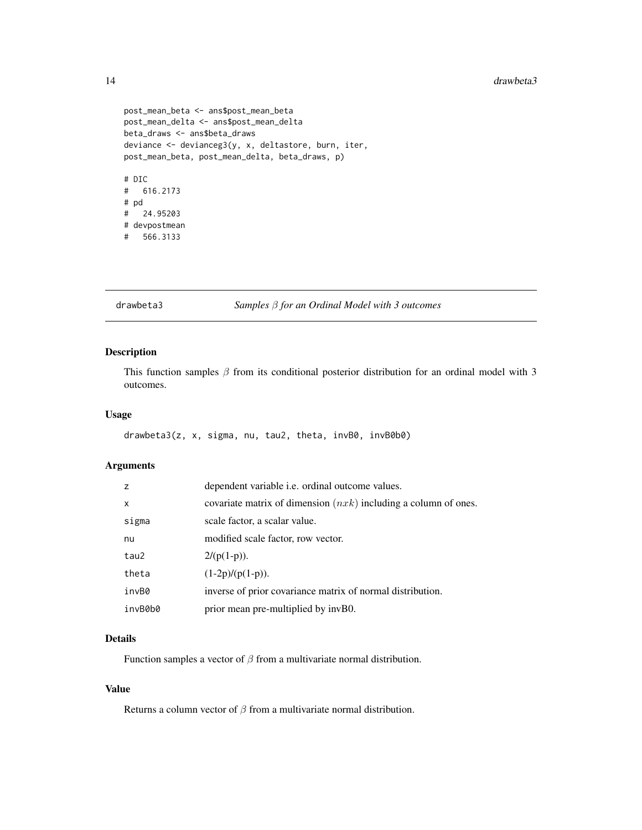```
post_mean_beta <- ans$post_mean_beta
post_mean_delta <- ans$post_mean_delta
beta_draws <- ans$beta_draws
deviance <- devianceg3(y, x, deltastore, burn, iter,
post_mean_beta, post_mean_delta, beta_draws, p)
# DIC
# 616.2173
# pd
# 24.95203
# devpostmean
# 566.3133
```
# <span id="page-13-1"></span>drawbeta3 *Samples* β *for an Ordinal Model with 3 outcomes*

# Description

This function samples  $\beta$  from its conditional posterior distribution for an ordinal model with 3 outcomes.

#### Usage

drawbeta3(z, x, sigma, nu, tau2, theta, invB0, invB0b0)

# Arguments

| z            | dependent variable i.e. ordinal outcome values.                   |
|--------------|-------------------------------------------------------------------|
| $\mathsf{x}$ | covariate matrix of dimension $(nxk)$ including a column of ones. |
| sigma        | scale factor, a scalar value.                                     |
| nu           | modified scale factor, row vector.                                |
| tau2         | $2/(p(1-p)).$                                                     |
| theta        | $(1-2p)/(p(1-p)).$                                                |
| invB0        | inverse of prior covariance matrix of normal distribution.        |
| invB0b0      | prior mean pre-multiplied by invB0.                               |

# Details

Function samples a vector of  $\beta$  from a multivariate normal distribution.

#### Value

Returns a column vector of  $\beta$  from a multivariate normal distribution.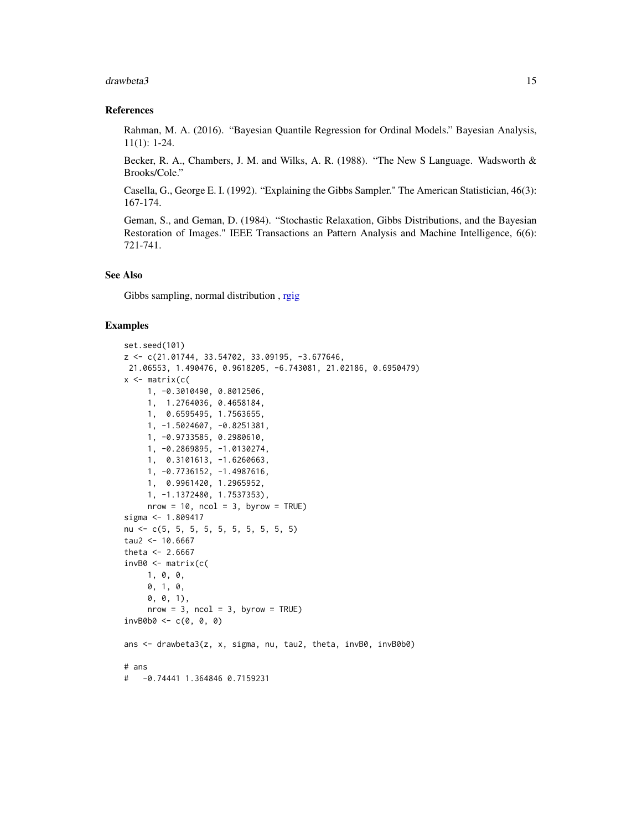#### <span id="page-14-0"></span>drawbeta3 15

#### References

Rahman, M. A. (2016). "Bayesian Quantile Regression for Ordinal Models." Bayesian Analysis, 11(1): 1-24.

Becker, R. A., Chambers, J. M. and Wilks, A. R. (1988). "The New S Language. Wadsworth & Brooks/Cole."

Casella, G., George E. I. (1992). "Explaining the Gibbs Sampler." The American Statistician, 46(3): 167-174.

Geman, S., and Geman, D. (1984). "Stochastic Relaxation, Gibbs Distributions, and the Bayesian Restoration of Images." IEEE Transactions an Pattern Analysis and Machine Intelligence, 6(6): 721-741.

# See Also

Gibbs sampling, normal distribution , [rgig](#page-0-0)

```
set.seed(101)
z <- c(21.01744, 33.54702, 33.09195, -3.677646,
21.06553, 1.490476, 0.9618205, -6.743081, 21.02186, 0.6950479)
x \leftarrow matrix(c(
     1, -0.3010490, 0.8012506,
     1, 1.2764036, 0.4658184,
    1, 0.6595495, 1.7563655,
    1, -1.5024607, -0.8251381,
    1, -0.9733585, 0.2980610,
    1, -0.2869895, -1.0130274,
    1, 0.3101613, -1.6260663,
    1, -0.7736152, -1.4987616,
    1, 0.9961420, 1.2965952,
    1, -1.1372480, 1.7537353),
    nrow = 10, ncol = 3, byrow = TRUE)
sigma <- 1.809417
nu <- c(5, 5, 5, 5, 5, 5, 5, 5, 5, 5)
tau2 <- 10.6667
theta <- 2.6667invB0 <- matrix(c(
    1, 0, 0,
    0, 1, 0,
     0, 0, 1),
    nrow = 3, ncol = 3, byrow = TRUE)
invB0b0 \leq c(0, 0, 0)ans <- drawbeta3(z, x, sigma, nu, tau2, theta, invB0, invB0b0)
# ans
# -0.74441 1.364846 0.7159231
```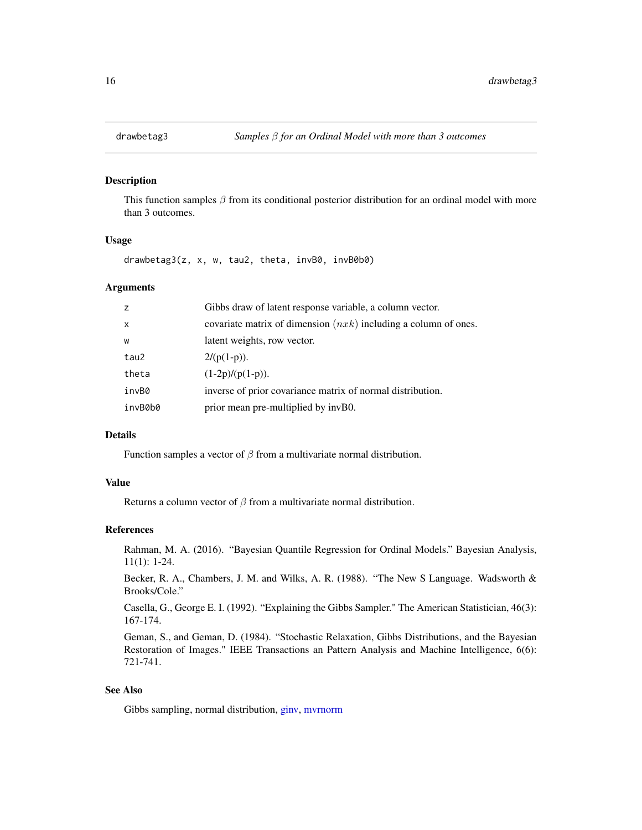<span id="page-15-1"></span><span id="page-15-0"></span>

#### Description

This function samples  $\beta$  from its conditional posterior distribution for an ordinal model with more than 3 outcomes.

#### Usage

drawbetag3(z, x, w, tau2, theta, invB0, invB0b0)

# Arguments

| z            | Gibbs draw of latent response variable, a column vector.          |
|--------------|-------------------------------------------------------------------|
| $\mathsf{x}$ | covariate matrix of dimension $(nxk)$ including a column of ones. |
| W            | latent weights, row vector.                                       |
| tau2         | $2/(p(1-p)).$                                                     |
| theta        | $(1-2p)/(p(1-p)).$                                                |
| invB0        | inverse of prior covariance matrix of normal distribution.        |
| invB0b0      | prior mean pre-multiplied by invB0.                               |
|              |                                                                   |

#### Details

Function samples a vector of  $\beta$  from a multivariate normal distribution.

#### Value

Returns a column vector of  $\beta$  from a multivariate normal distribution.

# References

Rahman, M. A. (2016). "Bayesian Quantile Regression for Ordinal Models." Bayesian Analysis, 11(1): 1-24.

Becker, R. A., Chambers, J. M. and Wilks, A. R. (1988). "The New S Language. Wadsworth & Brooks/Cole."

Casella, G., George E. I. (1992). "Explaining the Gibbs Sampler." The American Statistician, 46(3): 167-174.

Geman, S., and Geman, D. (1984). "Stochastic Relaxation, Gibbs Distributions, and the Bayesian Restoration of Images." IEEE Transactions an Pattern Analysis and Machine Intelligence, 6(6): 721-741.

#### See Also

Gibbs sampling, normal distribution, [ginv,](#page-0-0) [mvrnorm](#page-0-0)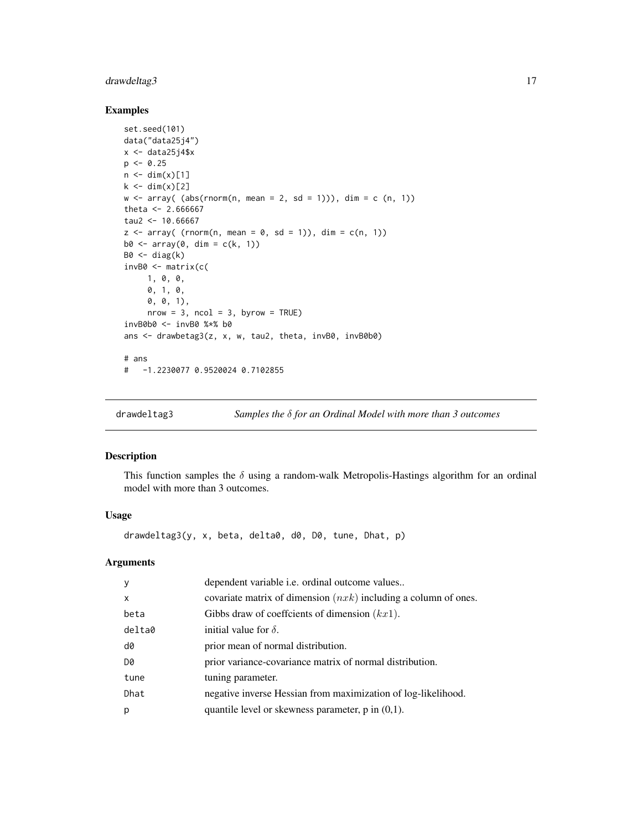# <span id="page-16-0"></span>drawdeltag3 17

# Examples

```
set.seed(101)
data("data25j4")
x \leftarrow data25j4$x
p \le -0.25n \leq -\dim(x)[1]k \leq -\dim(x)[2]w \leq -\arctan((\text{abs}(rnorm(n, mean = 2, sd = 1))), \text{dim} = c(n, 1))theta <- 2.666667
tau2 <- 10.66667
z \leq -\arctan((\text{rnorm}(n, \text{mean} = 0, \text{sd} = 1)), \text{dim} = c(n, 1))b0 \le -\arctan(0, \dim = c(k, 1))B0 \leftarrow diag(k)invB0 <- matrix(c(
     1, 0, 0,
      0, 1, 0,
      0, 0, 1),
      nrow = 3, ncol = 3, byrow = TRUE)
invB0b0 <- invB0 %*% b0
ans <- drawbetag3(z, x, w, tau2, theta, invB0, invB0b0)
# ans
# -1.2230077 0.9520024 0.7102855
```
<span id="page-16-1"></span>drawdeltag3 *Samples the* δ *for an Ordinal Model with more than 3 outcomes*

# Description

This function samples the  $\delta$  using a random-walk Metropolis-Hastings algorithm for an ordinal model with more than 3 outcomes.

# Usage

drawdeltag3(y, x, beta, delta0, d0, D0, tune, Dhat, p)

# Arguments

| $\mathsf{V}$ | dependent variable <i>i.e.</i> ordinal outcome values             |
|--------------|-------------------------------------------------------------------|
| $\mathsf{x}$ | covariate matrix of dimension $(nxk)$ including a column of ones. |
| beta         | Gibbs draw of coefficients of dimension $(kx1)$ .                 |
| delta0       | initial value for $\delta$ .                                      |
| d0           | prior mean of normal distribution.                                |
| D0           | prior variance-covariance matrix of normal distribution.          |
| tune         | tuning parameter.                                                 |
| Dhat         | negative inverse Hessian from maximization of log-likelihood.     |
| p            | quantile level or skewness parameter, $p$ in $(0,1)$ .            |
|              |                                                                   |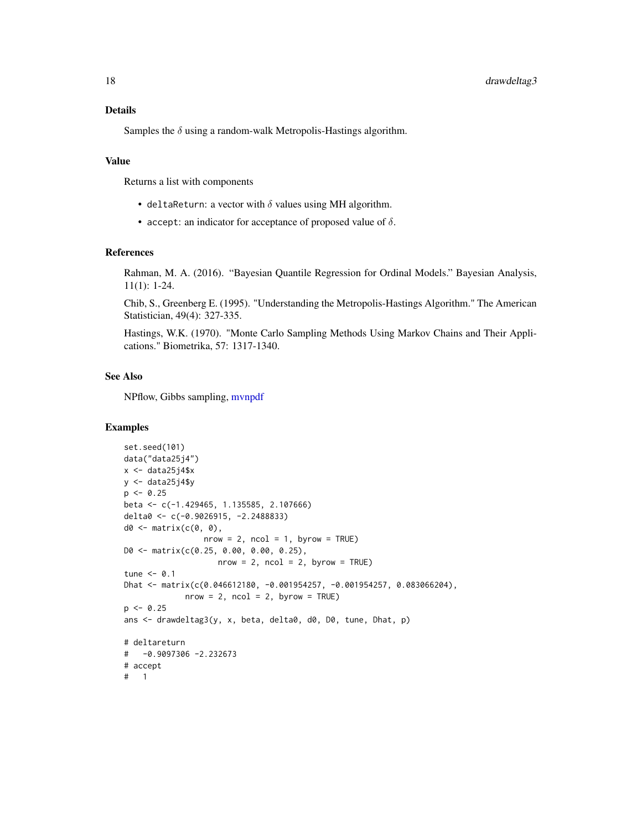# <span id="page-17-0"></span>Details

Samples the  $\delta$  using a random-walk Metropolis-Hastings algorithm.

# Value

Returns a list with components

- deltaReturn: a vector with  $\delta$  values using MH algorithm.
- accept: an indicator for acceptance of proposed value of  $\delta$ .

# References

Rahman, M. A. (2016). "Bayesian Quantile Regression for Ordinal Models." Bayesian Analysis, 11(1): 1-24.

Chib, S., Greenberg E. (1995). "Understanding the Metropolis-Hastings Algorithm." The American Statistician, 49(4): 327-335.

Hastings, W.K. (1970). "Monte Carlo Sampling Methods Using Markov Chains and Their Applications." Biometrika, 57: 1317-1340.

## See Also

NPflow, Gibbs sampling, [mvnpdf](#page-0-0)

```
set.seed(101)
data("data25j4")
x \leftarrow data25j4$x
y \leftarrow data25j4\p \le -0.25beta <- c(-1.429465, 1.135585, 2.107666)
delta0 <- c(-0.9026915, -2.2488833)
d0 \leq - matrix(c(0, 0),
                 nrow = 2, ncol = 1, byrow = TRUE)
D0 <- matrix(c(0.25, 0.00, 0.00, 0.25),
                    nrow = 2, ncol = 2, byrow = TRUE)
tune <-0.1Dhat <- matrix(c(0.046612180, -0.001954257, -0.001954257, 0.083066204),
             nrow = 2, ncol = 2, byrow = TRUE)
p \le -0.25ans <- drawdeltag3(y, x, beta, delta0, d0, D0, tune, Dhat, p)
# deltareturn
# -0.9097306 -2.232673
# accept
# 1
```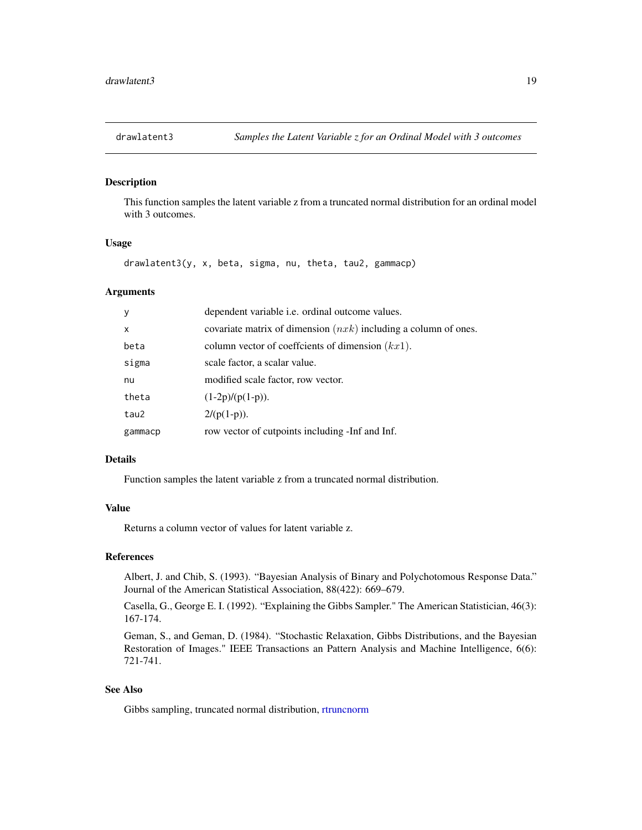<span id="page-18-1"></span><span id="page-18-0"></span>

# Description

This function samples the latent variable z from a truncated normal distribution for an ordinal model with 3 outcomes.

#### Usage

drawlatent3(y, x, beta, sigma, nu, theta, tau2, gammacp)

#### Arguments

| У            | dependent variable <i>i.e.</i> ordinal outcome values.            |
|--------------|-------------------------------------------------------------------|
| $\mathsf{x}$ | covariate matrix of dimension $(nxk)$ including a column of ones. |
| beta         | column vector of coefficients of dimension $(kx1)$ .              |
| sigma        | scale factor, a scalar value.                                     |
| nu           | modified scale factor, row vector.                                |
| theta        | $(1-2p)/(p(1-p)).$                                                |
| tau2         | $2/(p(1-p)).$                                                     |
| gammacp      | row vector of cutpoints including -Inf and Inf.                   |

#### Details

Function samples the latent variable z from a truncated normal distribution.

# Value

Returns a column vector of values for latent variable z.

#### References

Albert, J. and Chib, S. (1993). "Bayesian Analysis of Binary and Polychotomous Response Data." Journal of the American Statistical Association, 88(422): 669–679.

Casella, G., George E. I. (1992). "Explaining the Gibbs Sampler." The American Statistician, 46(3): 167-174.

Geman, S., and Geman, D. (1984). "Stochastic Relaxation, Gibbs Distributions, and the Bayesian Restoration of Images." IEEE Transactions an Pattern Analysis and Machine Intelligence, 6(6): 721-741.

# See Also

Gibbs sampling, truncated normal distribution, [rtruncnorm](#page-0-0)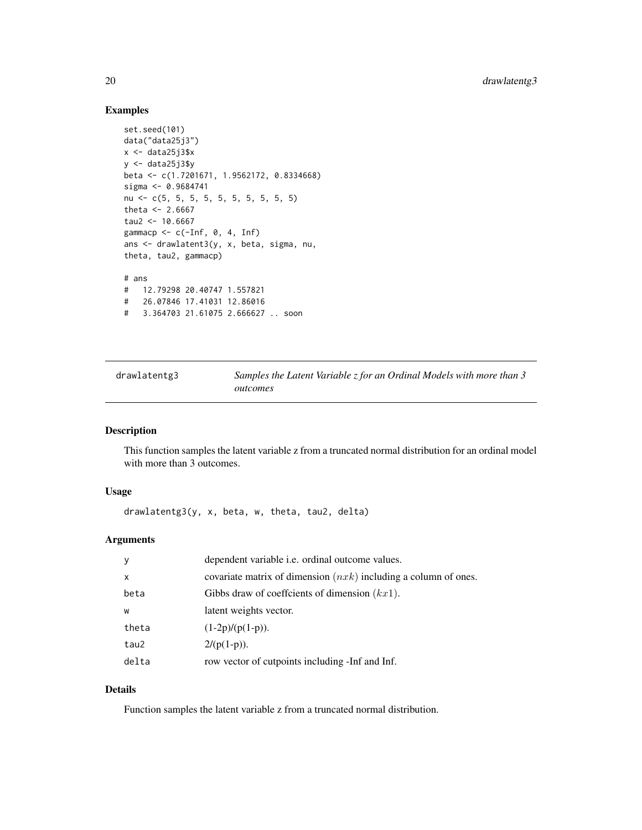# Examples

```
set.seed(101)
data("data25j3")
x < - data25j3$xy \leftarrow data25j3$ybeta <- c(1.7201671, 1.9562172, 0.8334668)
sigma <- 0.9684741
nu <- c(5, 5, 5, 5, 5, 5, 5, 5, 5, 5)
theta <- 2.6667tau2 < -10.6667gammacp \leq c(-Inf, 0, 4, Inf)
ans <- drawlatent3(y, x, beta, sigma, nu,
theta, tau2, gammacp)
# ans
# 12.79298 20.40747 1.557821
# 26.07846 17.41031 12.86016
# 3.364703 21.61075 2.666627 .. soon
```
<span id="page-19-1"></span>drawlatentg3 *Samples the Latent Variable z for an Ordinal Models with more than 3 outcomes*

#### Description

This function samples the latent variable z from a truncated normal distribution for an ordinal model with more than 3 outcomes.

#### Usage

drawlatentg3(y, x, beta, w, theta, tau2, delta)

# Arguments

| У            | dependent variable i.e. ordinal outcome values.                   |
|--------------|-------------------------------------------------------------------|
| $\mathsf{x}$ | covariate matrix of dimension $(nxk)$ including a column of ones. |
| beta         | Gibbs draw of coeffcients of dimension $(kx1)$ .                  |
| W            | latent weights vector.                                            |
| theta        | $(1-2p)/(p(1-p)).$                                                |
| tau2         | $2/(p(1-p)).$                                                     |
| delta        | row vector of cutpoints including -Inf and Inf.                   |

# Details

Function samples the latent variable z from a truncated normal distribution.

<span id="page-19-0"></span>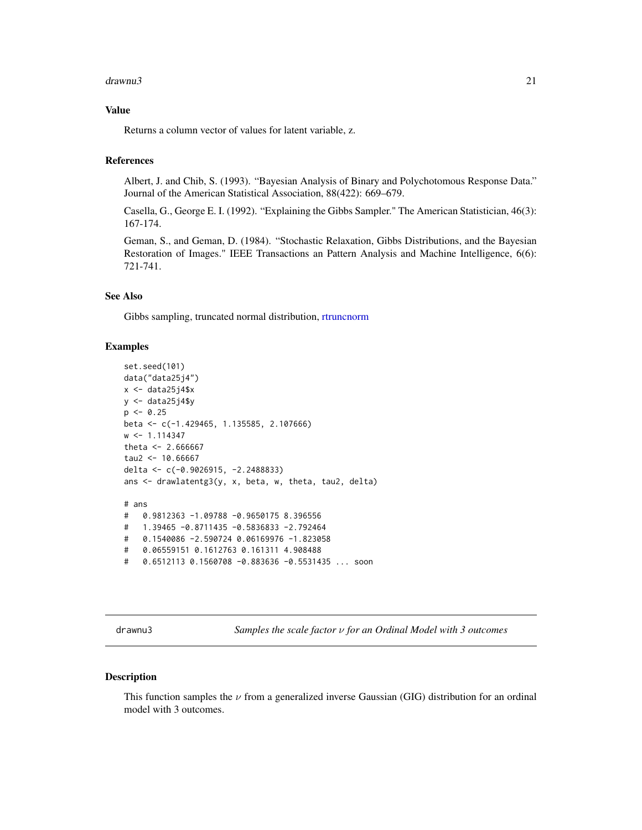#### <span id="page-20-0"></span>drawnu3 21

# Value

Returns a column vector of values for latent variable, z.

# References

Albert, J. and Chib, S. (1993). "Bayesian Analysis of Binary and Polychotomous Response Data." Journal of the American Statistical Association, 88(422): 669–679.

Casella, G., George E. I. (1992). "Explaining the Gibbs Sampler." The American Statistician, 46(3): 167-174.

Geman, S., and Geman, D. (1984). "Stochastic Relaxation, Gibbs Distributions, and the Bayesian Restoration of Images." IEEE Transactions an Pattern Analysis and Machine Intelligence, 6(6): 721-741.

#### See Also

Gibbs sampling, truncated normal distribution, [rtruncnorm](#page-0-0)

#### Examples

```
set.seed(101)
data("data25j4")
x < - data25j4$xy \leftarrow data25j4\p \le -0.25beta <- c(-1.429465, 1.135585, 2.107666)
w \leq 1.114347theta <- 2.666667tau2 < -10.66667delta <- c(-0.9026915, -2.2488833)
ans <- drawlatentg3(y, x, beta, w, theta, tau2, delta)
# ans
# 0.9812363 -1.09788 -0.9650175 8.396556
# 1.39465 -0.8711435 -0.5836833 -2.792464
# 0.1540086 -2.590724 0.06169976 -1.823058
# 0.06559151 0.1612763 0.161311 4.908488
# 0.6512113 0.1560708 -0.883636 -0.5531435 ... soon
```
<span id="page-20-1"></span>drawnu3 *Samples the scale factor* ν *for an Ordinal Model with 3 outcomes*

#### Description

This function samples the  $\nu$  from a generalized inverse Gaussian (GIG) distribution for an ordinal model with 3 outcomes.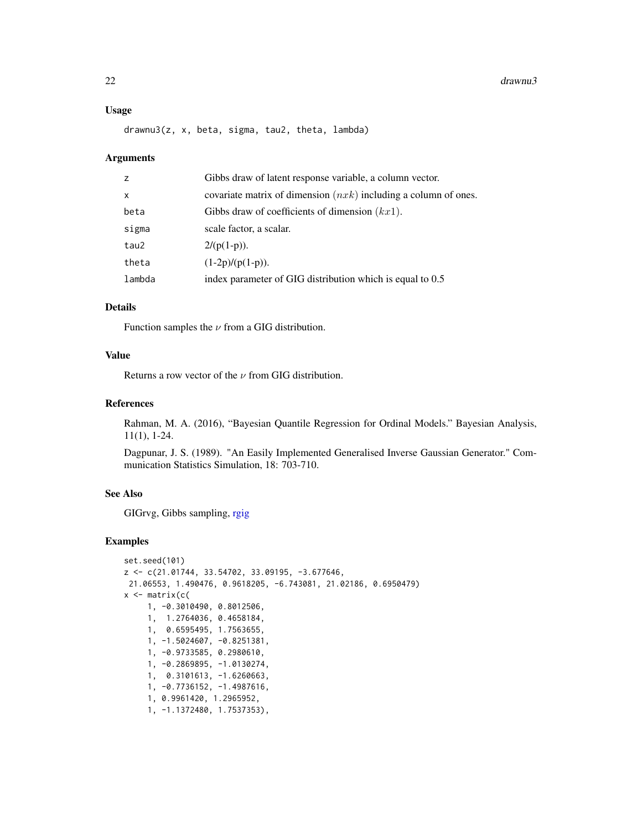#### <span id="page-21-0"></span> $22$  drawnu3

#### Usage

drawnu3(z, x, beta, sigma, tau2, theta, lambda)

#### Arguments

| Z            | Gibbs draw of latent response variable, a column vector.          |
|--------------|-------------------------------------------------------------------|
| $\mathsf{x}$ | covariate matrix of dimension $(nxk)$ including a column of ones. |
| beta         | Gibbs draw of coefficients of dimension $(kx1)$ .                 |
| sigma        | scale factor, a scalar.                                           |
| tau2         | $2/(p(1-p)).$                                                     |
| theta        | $(1-2p)/(p(1-p)).$                                                |
| lambda       | index parameter of GIG distribution which is equal to 0.5         |

# Details

Function samples the  $\nu$  from a GIG distribution.

#### Value

Returns a row vector of the  $\nu$  from GIG distribution.

# References

Rahman, M. A. (2016), "Bayesian Quantile Regression for Ordinal Models." Bayesian Analysis, 11(1), 1-24.

Dagpunar, J. S. (1989). "An Easily Implemented Generalised Inverse Gaussian Generator." Communication Statistics Simulation, 18: 703-710.

# See Also

GIGrvg, Gibbs sampling, [rgig](#page-0-0)

```
set.seed(101)
z <- c(21.01744, 33.54702, 33.09195, -3.677646,
21.06553, 1.490476, 0.9618205, -6.743081, 21.02186, 0.6950479)
x \leftarrow \text{matrix}(c)1, -0.3010490, 0.8012506,
     1, 1.2764036, 0.4658184,
     1, 0.6595495, 1.7563655,
     1, -1.5024607, -0.8251381,
     1, -0.9733585, 0.2980610,
     1, -0.2869895, -1.0130274,
     1, 0.3101613, -1.6260663,
     1, -0.7736152, -1.4987616,
     1, 0.9961420, 1.2965952,
     1, -1.1372480, 1.7537353),
```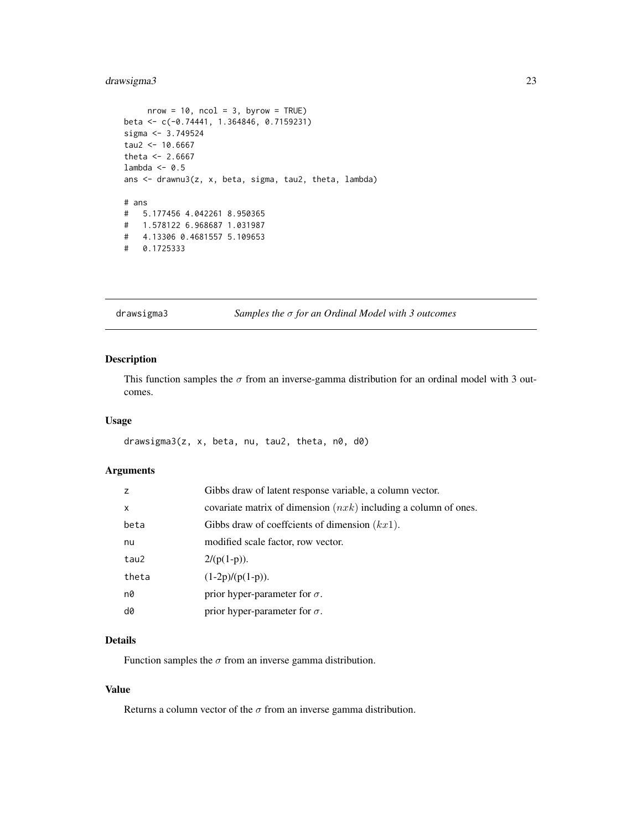# <span id="page-22-0"></span>drawsigma3 23

```
nrow = 10, ncol = 3, byrow = TRUE)
beta <- c(-0.74441, 1.364846, 0.7159231)
sigma <- 3.749524
tau2 < -10.6667theta <-2.6667lambda <-0.5ans <- drawnu3(z, x, beta, sigma, tau2, theta, lambda)
# ans
# 5.177456 4.042261 8.950365
# 1.578122 6.968687 1.031987
# 4.13306 0.4681557 5.109653
# 0.1725333
```
<span id="page-22-1"></span>drawsigma3 *Samples the* σ *for an Ordinal Model with 3 outcomes*

# Description

This function samples the  $\sigma$  from an inverse-gamma distribution for an ordinal model with 3 outcomes.

# Usage

drawsigma3(z, x, beta, nu, tau2, theta, n0, d0)

# Arguments

| Z     | Gibbs draw of latent response variable, a column vector.          |
|-------|-------------------------------------------------------------------|
| X     | covariate matrix of dimension $(nxk)$ including a column of ones. |
| beta  | Gibbs draw of coeffcients of dimension $(kx1)$ .                  |
| nu    | modified scale factor, row vector.                                |
| tau2  | $2/(p(1-p)).$                                                     |
| theta | $(1-2p)/(p(1-p)).$                                                |
| n0    | prior hyper-parameter for $\sigma$ .                              |
| d0    | prior hyper-parameter for $\sigma$ .                              |

# Details

Function samples the  $\sigma$  from an inverse gamma distribution.

# Value

Returns a column vector of the  $\sigma$  from an inverse gamma distribution.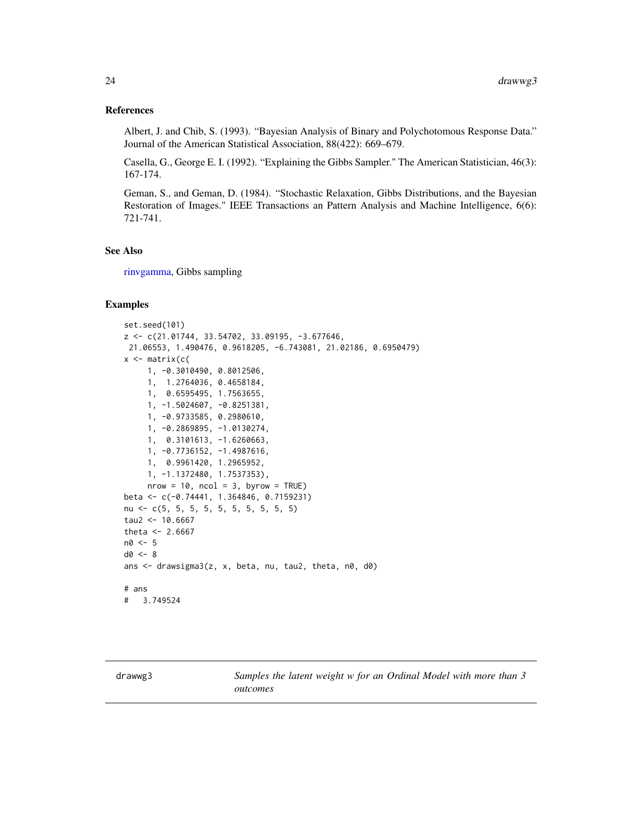#### <span id="page-23-0"></span>References

Albert, J. and Chib, S. (1993). "Bayesian Analysis of Binary and Polychotomous Response Data." Journal of the American Statistical Association, 88(422): 669–679.

Casella, G., George E. I. (1992). "Explaining the Gibbs Sampler." The American Statistician, 46(3): 167-174.

Geman, S., and Geman, D. (1984). "Stochastic Relaxation, Gibbs Distributions, and the Bayesian Restoration of Images." IEEE Transactions an Pattern Analysis and Machine Intelligence, 6(6): 721-741.

# See Also

[rinvgamma,](#page-0-0) Gibbs sampling

#### Examples

```
set.seed(101)
z <- c(21.01744, 33.54702, 33.09195, -3.677646,
21.06553, 1.490476, 0.9618205, -6.743081, 21.02186, 0.6950479)
x \leftarrow matrix(c(
     1, -0.3010490, 0.8012506,
    1, 1.2764036, 0.4658184,
    1, 0.6595495, 1.7563655,
    1, -1.5024607, -0.8251381,
    1, -0.9733585, 0.2980610,
     1, -0.2869895, -1.0130274,
    1, 0.3101613, -1.6260663,
     1, -0.7736152, -1.4987616,
     1, 0.9961420, 1.2965952,
     1, -1.1372480, 1.7537353),
     nrow = 10, ncol = 3, byrow = TRUE)
beta <- c(-0.74441, 1.364846, 0.7159231)
nu <- c(5, 5, 5, 5, 5, 5, 5, 5, 5, 5)
tau2 < -10.6667theta <- 2.6667n0 < -5d0 < -8ans \leq drawsigma3(z, x, beta, nu, tau2, theta, n0, d0)
# ans
# 3.749524
```
<span id="page-23-1"></span>drawwg3 *Samples the latent weight w for an Ordinal Model with more than 3 outcomes*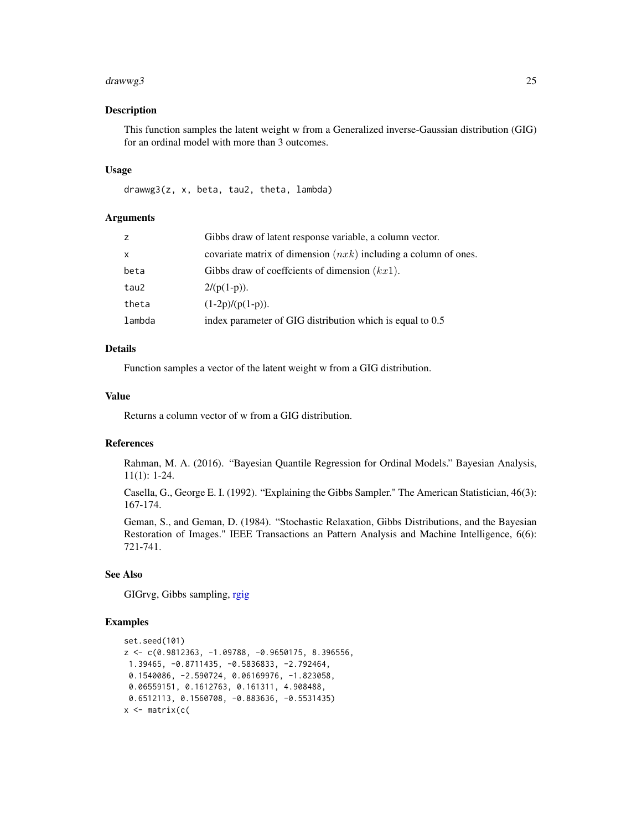#### <span id="page-24-0"></span>drawwg3 25

#### Description

This function samples the latent weight w from a Generalized inverse-Gaussian distribution (GIG) for an ordinal model with more than 3 outcomes.

#### Usage

drawwg3(z, x, beta, tau2, theta, lambda)

# Arguments

| Z      | Gibbs draw of latent response variable, a column vector.          |
|--------|-------------------------------------------------------------------|
| X      | covariate matrix of dimension $(nxk)$ including a column of ones. |
| beta   | Gibbs draw of coefficients of dimension $(kx1)$ .                 |
| tau2   | $2/(p(1-p))$ .                                                    |
| theta  | $(1-2p)/(p(1-p)).$                                                |
| lambda | index parameter of GIG distribution which is equal to 0.5         |

#### Details

Function samples a vector of the latent weight w from a GIG distribution.

# Value

Returns a column vector of w from a GIG distribution.

# References

Rahman, M. A. (2016). "Bayesian Quantile Regression for Ordinal Models." Bayesian Analysis, 11(1): 1-24.

Casella, G., George E. I. (1992). "Explaining the Gibbs Sampler." The American Statistician, 46(3): 167-174.

Geman, S., and Geman, D. (1984). "Stochastic Relaxation, Gibbs Distributions, and the Bayesian Restoration of Images." IEEE Transactions an Pattern Analysis and Machine Intelligence, 6(6): 721-741.

# See Also

GIGrvg, Gibbs sampling, [rgig](#page-0-0)

```
set.seed(101)
z <- c(0.9812363, -1.09788, -0.9650175, 8.396556,
1.39465, -0.8711435, -0.5836833, -2.792464,
0.1540086, -2.590724, 0.06169976, -1.823058,
0.06559151, 0.1612763, 0.161311, 4.908488,
0.6512113, 0.1560708, -0.883636, -0.5531435)
x \leftarrow matrix(c(
```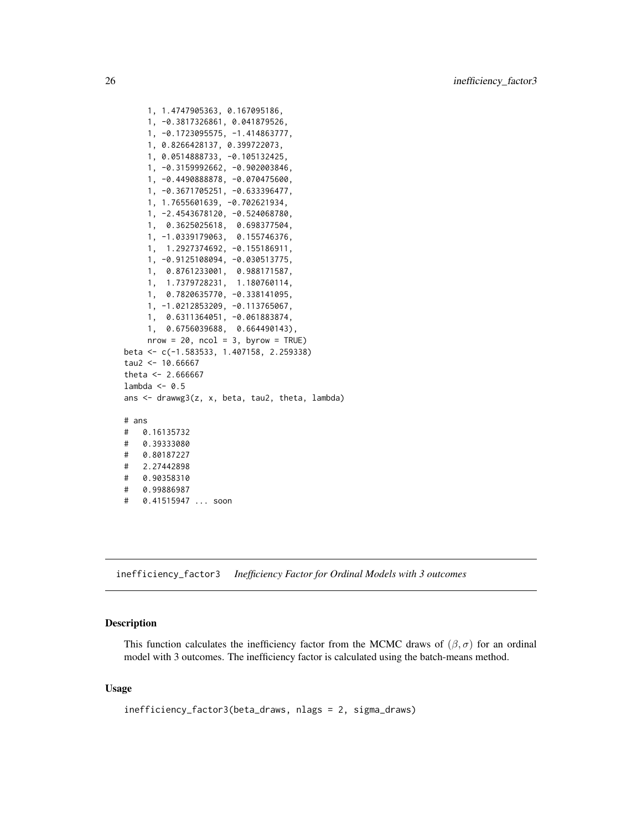```
1, 1.4747905363, 0.167095186,
    1, -0.3817326861, 0.041879526,
    1, -0.1723095575, -1.414863777,
    1, 0.8266428137, 0.399722073,
    1, 0.0514888733, -0.105132425,
    1, -0.3159992662, -0.902003846,
    1, -0.4490888878, -0.070475600,
    1, -0.3671705251, -0.633396477,
    1, 1.7655601639, -0.702621934,
    1, -2.4543678120, -0.524068780,
    1, 0.3625025618, 0.698377504,
    1, -1.0339179063, 0.155746376,
    1, 1.2927374692, -0.155186911,
    1, -0.9125108094, -0.030513775,
    1, 0.8761233001, 0.988171587,
    1, 1.7379728231, 1.180760114,
    1, 0.7820635770, -0.338141095,
    1, -1.0212853209, -0.113765067,
    1, 0.6311364051, -0.061883874,
    1, 0.6756039688, 0.664490143),
    nrow = 20, ncol = 3, byrow = TRUE)
beta <- c(-1.583533, 1.407158, 2.259338)
tau2 < -10.66667theta <- 2.666667lambda <-0.5ans <- drawwg3(z, x, beta, tau2, theta, lambda)
# ans
# 0.16135732
# 0.39333080
# 0.80187227
# 2.27442898
# 0.90358310
# 0.99886987
# 0.41515947 ... soon
```
<span id="page-25-1"></span>inefficiency\_factor3 *Inefficiency Factor for Ordinal Models with 3 outcomes*

# **Description**

This function calculates the inefficiency factor from the MCMC draws of  $(\beta, \sigma)$  for an ordinal model with 3 outcomes. The inefficiency factor is calculated using the batch-means method.

# Usage

inefficiency\_factor3(beta\_draws, nlags = 2, sigma\_draws)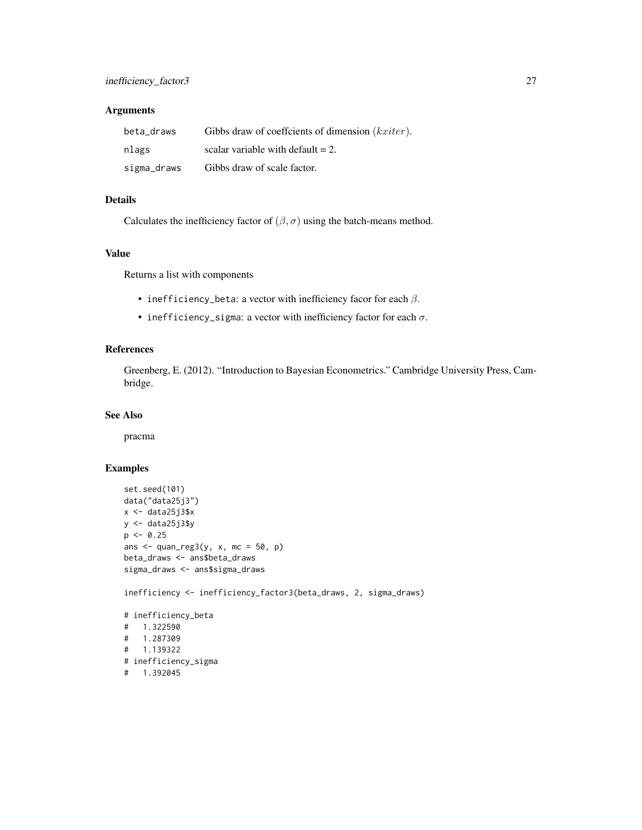# Arguments

| beta draws  | Gibbs draw of coeffcients of dimension (kxiter). |
|-------------|--------------------------------------------------|
| nlags       | scalar variable with default $= 2$ .             |
| sigma_draws | Gibbs draw of scale factor.                      |

# Details

Calculates the inefficiency factor of  $(\beta, \sigma)$  using the batch-means method.

# Value

Returns a list with components

- inefficiency\_beta: a vector with inefficiency facor for each  $\beta$ .
- inefficiency\_sigma: a vector with inefficiency factor for each  $\sigma$ .

# References

Greenberg, E. (2012). "Introduction to Bayesian Econometrics." Cambridge University Press, Cambridge.

#### See Also

pracma

# Examples

```
set.seed(101)
data("data25j3")
x \leftarrow data25j3$x
y <- data25j3$y
p \le -0.25ans \leq quan_reg3(y, x, mc = 50, p)
beta_draws <- ans$beta_draws
sigma_draws <- ans$sigma_draws
inefficiency <- inefficiency_factor3(beta_draws, 2, sigma_draws)
# inefficiency_beta
# 1.322590
# 1.287309
# 1.139322
# inefficiency_sigma
```
# 1.392045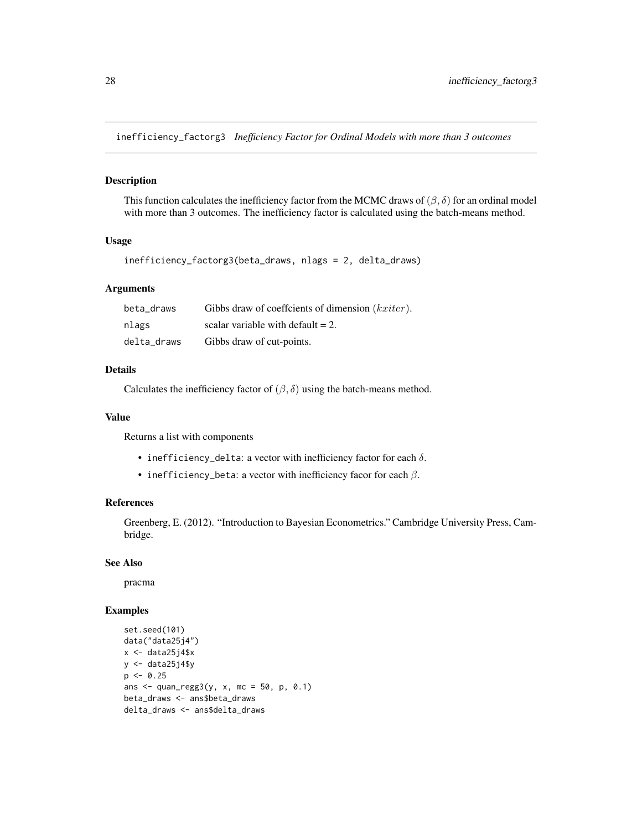<span id="page-27-1"></span><span id="page-27-0"></span>inefficiency\_factorg3 *Inefficiency Factor for Ordinal Models with more than 3 outcomes*

#### Description

This function calculates the inefficiency factor from the MCMC draws of  $(\beta, \delta)$  for an ordinal model with more than 3 outcomes. The inefficiency factor is calculated using the batch-means method.

# Usage

```
inefficiency_factorg3(beta_draws, nlags = 2, delta_draws)
```
# Arguments

| beta draws  | Gibbs draw of coeffcients of dimension $(kxiter)$ . |
|-------------|-----------------------------------------------------|
| nlags       | scalar variable with default $= 2$ .                |
| delta_draws | Gibbs draw of cut-points.                           |

# Details

Calculates the inefficiency factor of  $(\beta, \delta)$  using the batch-means method.

#### Value

Returns a list with components

- inefficiency\_delta: a vector with inefficiency factor for each  $\delta$ .
- inefficiency\_beta: a vector with inefficiency facor for each  $\beta$ .

#### References

Greenberg, E. (2012). "Introduction to Bayesian Econometrics." Cambridge University Press, Cambridge.

#### See Also

pracma

```
set.seed(101)
data("data25j4")
x \leftarrow data25j4$x
y \leftarrow data25j4$y
p \le -0.25ans \leq quan_regg3(y, x, mc = 50, p, 0.1)
beta_draws <- ans$beta_draws
delta_draws <- ans$delta_draws
```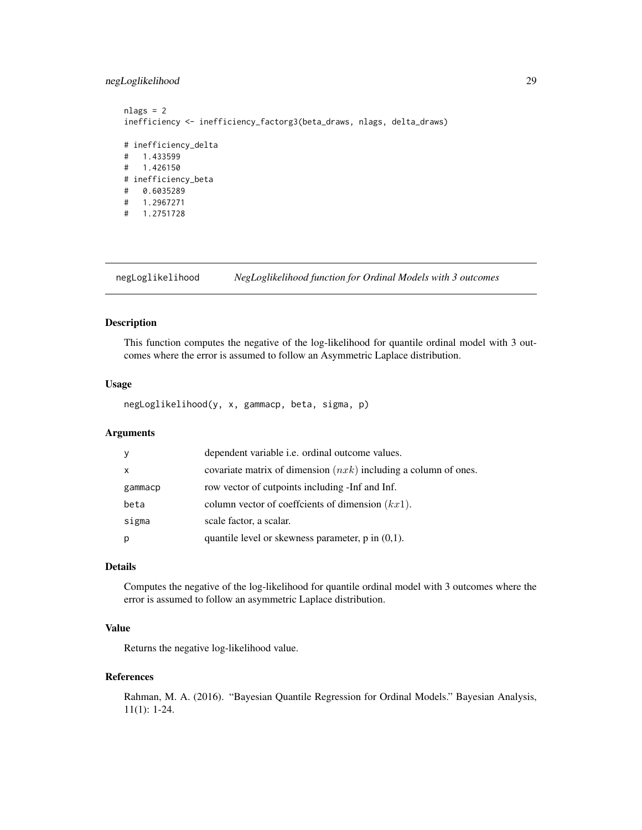# <span id="page-28-0"></span>negLoglikelihood 29

```
nlags = 2
inefficiency <- inefficiency_factorg3(beta_draws, nlags, delta_draws)
# inefficiency_delta
# 1.433599
# 1.426150
# inefficiency_beta
# 0.6035289
# 1.2967271
# 1.2751728
```
<span id="page-28-1"></span>negLoglikelihood *NegLoglikelihood function for Ordinal Models with 3 outcomes*

# Description

This function computes the negative of the log-likelihood for quantile ordinal model with 3 outcomes where the error is assumed to follow an Asymmetric Laplace distribution.

# Usage

negLoglikelihood(y, x, gammacp, beta, sigma, p)

# Arguments

| y            | dependent variable <i>i.e.</i> ordinal outcome values.            |
|--------------|-------------------------------------------------------------------|
| $\mathsf{x}$ | covariate matrix of dimension $(nxk)$ including a column of ones. |
| gammacp      | row vector of cutpoints including -Inf and Inf.                   |
| beta         | column vector of coefficients of dimension $(kx1)$ .              |
| sigma        | scale factor, a scalar.                                           |
| p            | quantile level or skewness parameter, $p$ in $(0,1)$ .            |

# Details

Computes the negative of the log-likelihood for quantile ordinal model with 3 outcomes where the error is assumed to follow an asymmetric Laplace distribution.

# Value

Returns the negative log-likelihood value.

#### References

Rahman, M. A. (2016). "Bayesian Quantile Regression for Ordinal Models." Bayesian Analysis, 11(1): 1-24.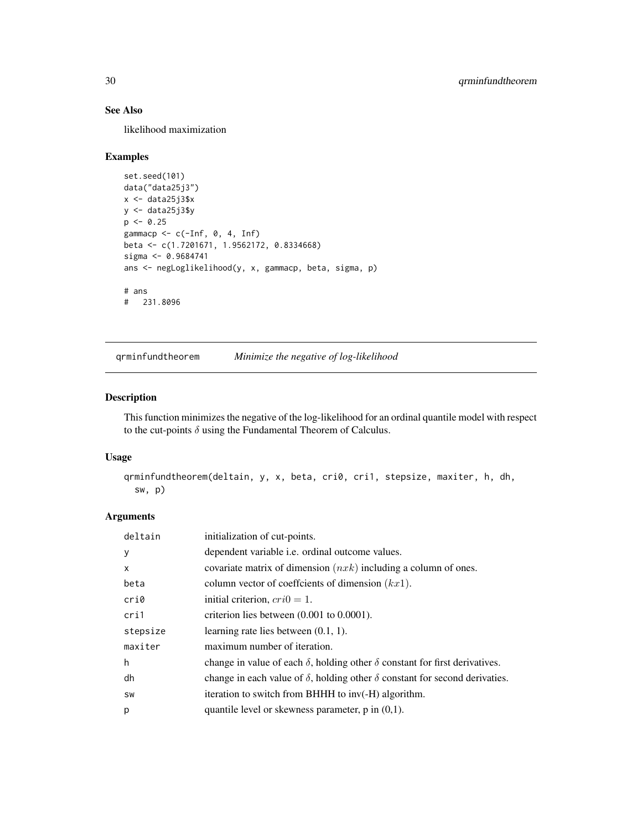# See Also

likelihood maximization

# Examples

```
set.seed(101)
data("data25j3")
x \leftarrow data25j3$xy <- data25j3$y
p \le -0.25gammacp \leq c(-Inf, 0, 4, Inf)
beta <- c(1.7201671, 1.9562172, 0.8334668)
sigma <- 0.9684741
ans <- negLoglikelihood(y, x, gammacp, beta, sigma, p)
# ans
# 231.8096
```
<span id="page-29-1"></span>qrminfundtheorem *Minimize the negative of log-likelihood*

# Description

This function minimizes the negative of the log-likelihood for an ordinal quantile model with respect to the cut-points  $\delta$  using the Fundamental Theorem of Calculus.

# Usage

```
qrminfundtheorem(deltain, y, x, beta, cri0, cri1, stepsize, maxiter, h, dh,
 sw, p)
```
#### Arguments

| deltain      | initialization of cut-points.                                                             |
|--------------|-------------------------------------------------------------------------------------------|
| y            | dependent variable <i>i.e.</i> ordinal outcome values.                                    |
| $\mathsf{x}$ | covariate matrix of dimension $(nxk)$ including a column of ones.                         |
| beta         | column vector of coefficients of dimension $(kx1)$ .                                      |
| cri0         | initial criterion, $cri0 = 1$ .                                                           |
| cri1         | criterion lies between $(0.001$ to $0.0001$ ).                                            |
| stepsize     | learning rate lies between $(0.1, 1)$ .                                                   |
| maxiter      | maximum number of iteration.                                                              |
| h            | change in value of each $\delta$ , holding other $\delta$ constant for first derivatives. |
| dh           | change in each value of $\delta$ , holding other $\delta$ constant for second derivaties. |
| SW           | iteration to switch from BHHH to inv(-H) algorithm.                                       |
| p            | quantile level or skewness parameter, $p$ in $(0,1)$ .                                    |

<span id="page-29-0"></span>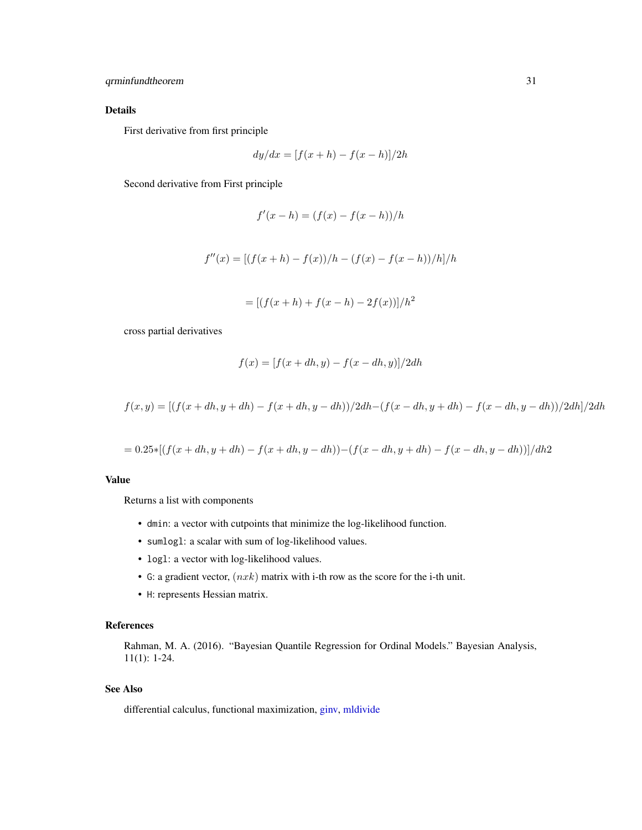# <span id="page-30-0"></span>qrminfundtheorem 31

# Details

First derivative from first principle

$$
dy/dx = [f(x+h) - f(x-h)]/2h
$$

Second derivative from First principle

$$
f'(x - h) = (f(x) - f(x - h))/h
$$

$$
f''(x) = [(f(x+h) - f(x))/h - (f(x) - f(x-h))/h]/h
$$

$$
= [(f(x+h) + f(x-h) - 2f(x))]/h2
$$

cross partial derivatives

$$
f(x) = [f(x + dh, y) - f(x - dh, y)]/2dh
$$

$$
f(x,y) = [(f(x+dh, y+dh) - f(x+dh, y-dh))/2dh - (f(x-dh, y+dh) - f(x-dh, y-dh))/2dh]/2dh
$$

$$
= 0.25*[(f(x+dh, y+dh) - f(x+dh, y-dh)) - (f(x-dh, y+dh) - f(x-dh, y-dh))]/dh2
$$

# Value

Returns a list with components

- dmin: a vector with cutpoints that minimize the log-likelihood function.
- sumlogl: a scalar with sum of log-likelihood values.
- logl: a vector with log-likelihood values.
- G: a gradient vector,  $(nxk)$  matrix with i-th row as the score for the i-th unit.
- H: represents Hessian matrix.

# References

Rahman, M. A. (2016). "Bayesian Quantile Regression for Ordinal Models." Bayesian Analysis, 11(1): 1-24.

# See Also

differential calculus, functional maximization, [ginv,](#page-0-0) [mldivide](#page-0-0)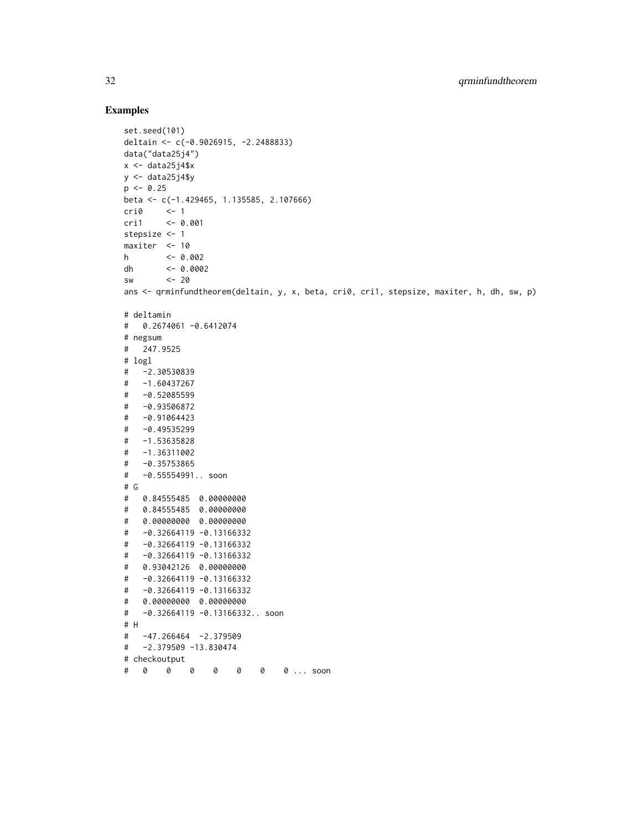```
set.seed(101)
deltain <- c(-0.9026915, -2.2488833)
data("data25j4")
x \leftarrow data25j4$xy \le - data25j4$y
p \le -0.25beta <- c(-1.429465, 1.135585, 2.107666)
cri0 <- 1
cri1 <- 0.001
stepsize <- 1
maxiter <- 10
h <- 0.002
dh <- 0.0002
sw <- 20
ans <- qrminfundtheorem(deltain, y, x, beta, cri0, cri1, stepsize, maxiter, h, dh, sw, p)
# deltamin
# 0.2674061 -0.6412074
# negsum
# 247.9525
# logl
# -2.30530839
# -1.60437267
# -0.52085599
# -0.93506872
# -0.91064423
# -0.49535299
# -1.53635828
# -1.36311002
# -0.35753865
# -0.55554991.. soon
# G
# 0.84555485 0.00000000
# 0.84555485 0.00000000
# 0.00000000 0.00000000
# -0.32664119 -0.13166332
# -0.32664119 -0.13166332
# -0.32664119 -0.13166332
# 0.93042126 0.00000000
# -0.32664119 -0.13166332
# -0.32664119 -0.13166332
# 0.00000000 0.00000000
# -0.32664119 -0.13166332.. soon
# H
# -47.266464 -2.379509
# -2.379509 -13.830474
# checkoutput
# 0 0 0 0 0 0 0 ... soon
```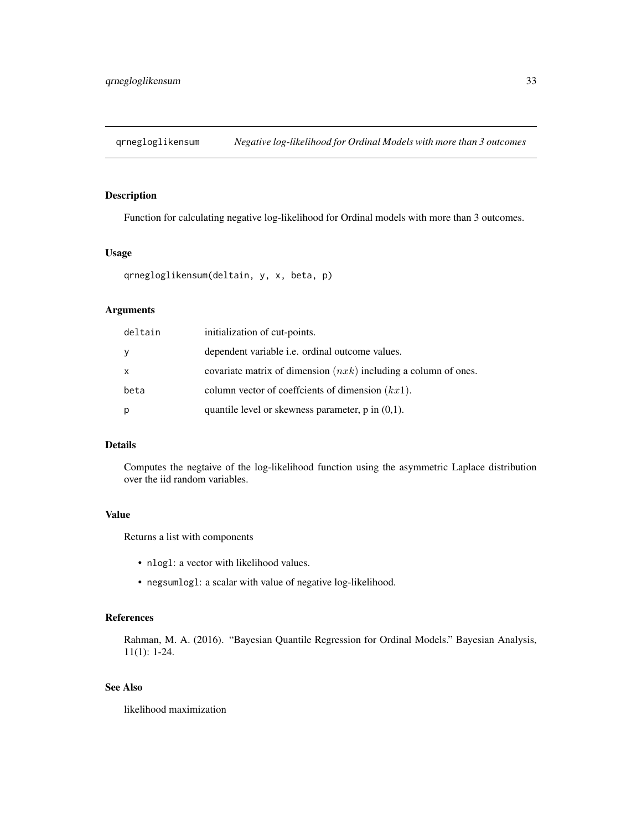<span id="page-32-1"></span><span id="page-32-0"></span>qrnegloglikensum *Negative log-likelihood for Ordinal Models with more than 3 outcomes*

# Description

Function for calculating negative log-likelihood for Ordinal models with more than 3 outcomes.

# Usage

```
qrnegloglikensum(deltain, y, x, beta, p)
```
# Arguments

| deltain      | initialization of cut-points.                                     |
|--------------|-------------------------------------------------------------------|
| y            | dependent variable <i>i.e.</i> ordinal outcome values.            |
| $\mathsf{x}$ | covariate matrix of dimension $(nxk)$ including a column of ones. |
| beta         | column vector of coefficients of dimension $(kx1)$ .              |
| p            | quantile level or skewness parameter, $p$ in $(0,1)$ .            |

# Details

Computes the negtaive of the log-likelihood function using the asymmetric Laplace distribution over the iid random variables.

# Value

Returns a list with components

- nlogl: a vector with likelihood values.
- negsumlogl: a scalar with value of negative log-likelihood.

# References

Rahman, M. A. (2016). "Bayesian Quantile Regression for Ordinal Models." Bayesian Analysis, 11(1): 1-24.

# See Also

likelihood maximization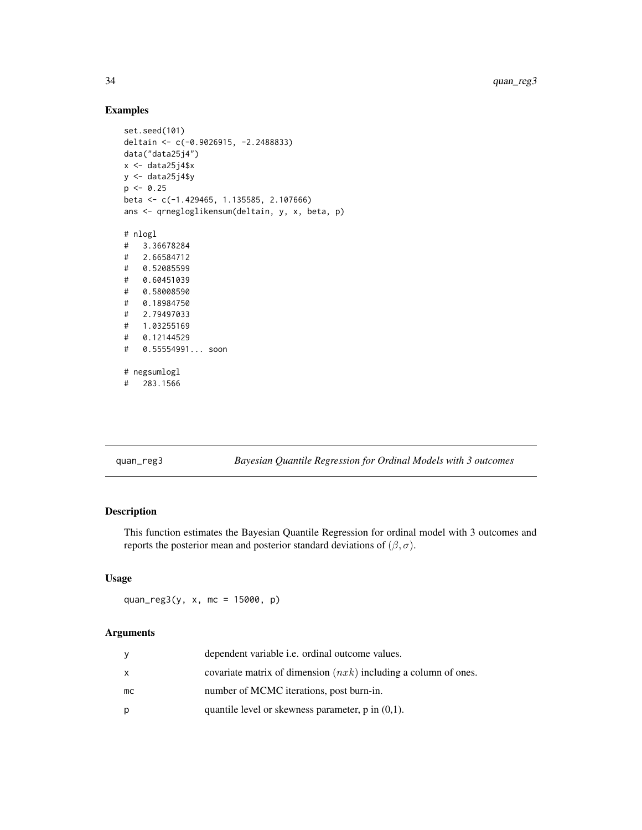# Examples

```
set.seed(101)
deltain <- c(-0.9026915, -2.2488833)
data("data25j4")
x \leftarrow data25j4$xy <- data25j4$y
p \le -0.25beta <- c(-1.429465, 1.135585, 2.107666)
ans <- qrnegloglikensum(deltain, y, x, beta, p)
# nlogl
# 3.36678284
# 2.66584712
# 0.52085599
# 0.60451039
# 0.58008590
# 0.18984750
# 2.79497033
# 1.03255169
# 0.12144529
# 0.55554991... soon
# negsumlogl
# 283.1566
```
<span id="page-33-1"></span>

| quan_reg3 |
|-----------|
|-----------|

quan\_reg3 *Bayesian Quantile Regression for Ordinal Models with 3 outcomes*

# Description

This function estimates the Bayesian Quantile Regression for ordinal model with 3 outcomes and reports the posterior mean and posterior standard deviations of  $(\beta, \sigma)$ .

# Usage

quan\_reg3(y, x, mc = 15000, p)

# Arguments

|    | dependent variable <i>i.e.</i> ordinal outcome values.            |
|----|-------------------------------------------------------------------|
| x  | covariate matrix of dimension $(nxk)$ including a column of ones. |
| mc | number of MCMC iterations, post burn-in.                          |
| p  | quantile level or skewness parameter, $p$ in $(0,1)$ .            |

<span id="page-33-0"></span>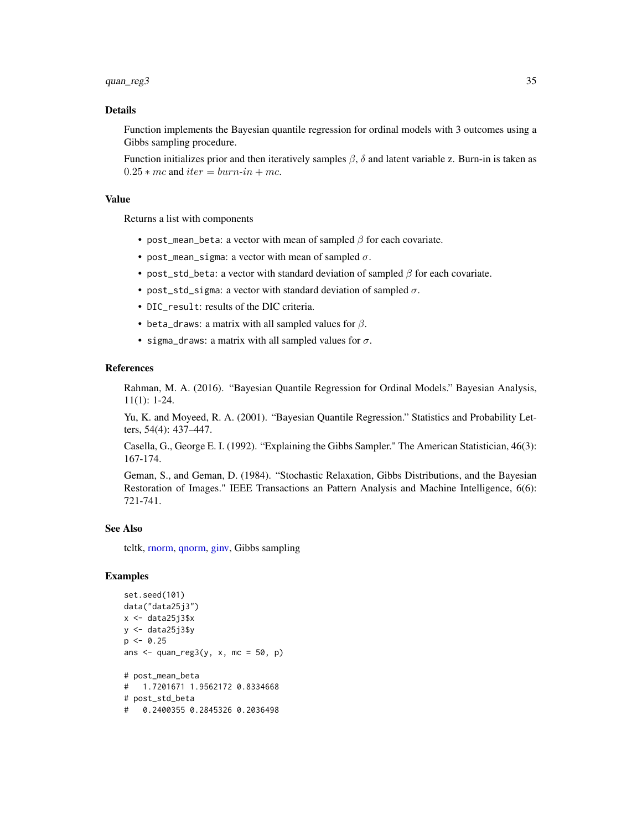# <span id="page-34-0"></span>quan\_reg3 35

#### Details

Function implements the Bayesian quantile regression for ordinal models with 3 outcomes using a Gibbs sampling procedure.

Function initializes prior and then iteratively samples  $\beta$ ,  $\delta$  and latent variable z. Burn-in is taken as  $0.25 * mc$  and  $iter = burn-in + mc$ .

#### Value

Returns a list with components

- post\_mean\_beta: a vector with mean of sampled  $\beta$  for each covariate.
- post\_mean\_sigma: a vector with mean of sampled  $\sigma$ .
- post\_std\_beta: a vector with standard deviation of sampled  $\beta$  for each covariate.
- post\_std\_sigma: a vector with standard deviation of sampled  $\sigma$ .
- DIC\_result: results of the DIC criteria.
- beta\_draws: a matrix with all sampled values for  $\beta$ .
- sigma\_draws: a matrix with all sampled values for  $\sigma$ .

# References

Rahman, M. A. (2016). "Bayesian Quantile Regression for Ordinal Models." Bayesian Analysis, 11(1): 1-24.

Yu, K. and Moyeed, R. A. (2001). "Bayesian Quantile Regression." Statistics and Probability Letters, 54(4): 437–447.

Casella, G., George E. I. (1992). "Explaining the Gibbs Sampler." The American Statistician, 46(3): 167-174.

Geman, S., and Geman, D. (1984). "Stochastic Relaxation, Gibbs Distributions, and the Bayesian Restoration of Images." IEEE Transactions an Pattern Analysis and Machine Intelligence, 6(6): 721-741.

#### See Also

tcltk, [rnorm,](#page-0-0) [qnorm,](#page-0-0) [ginv,](#page-0-0) Gibbs sampling

```
set.seed(101)
data("data25j3")
x \leftarrow data25j3$xy \le - data25j3$y
p \le -0.25ans \leq quan_reg3(y, x, mc = 50, p)
# post_mean_beta
# 1.7201671 1.9562172 0.8334668
# post_std_beta
# 0.2400355 0.2845326 0.2036498
```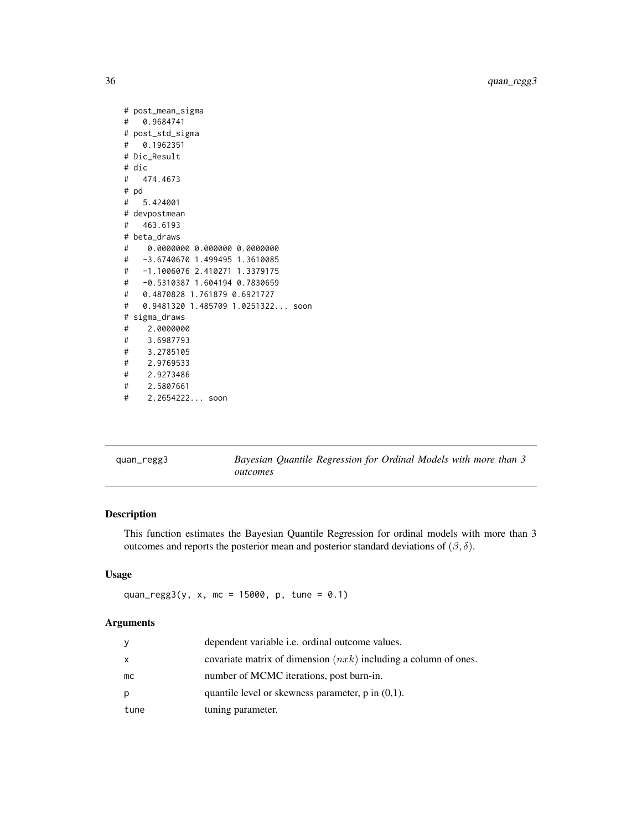```
# post_mean_sigma
# 0.9684741
# post_std_sigma
# 0.1962351
# Dic_Result
# dic
# 474.4673
# pd
# 5.424001
# devpostmean
# 463.6193
# beta_draws
# 0.0000000 0.000000 0.0000000
# -3.6740670 1.499495 1.3610085
# -1.1006076 2.410271 1.3379175
# -0.5310387 1.604194 0.7830659
# 0.4870828 1.761879 0.6921727
# 0.9481320 1.485709 1.0251322... soon
# sigma_draws
# 2.0000000
# 3.6987793
# 3.2785105
# 2.9769533
# 2.9273486
# 2.5807661
# 2.2654222... soon
```
<span id="page-35-1"></span>quan\_regg3 *Bayesian Quantile Regression for Ordinal Models with more than 3 outcomes*

# Description

This function estimates the Bayesian Quantile Regression for ordinal models with more than 3 outcomes and reports the posterior mean and posterior standard deviations of  $(\beta, \delta)$ .

#### Usage

```
quan_regg3(y, x, mc = 15000, p, tune = 0.1)
```
# Arguments

| V    | dependent variable i.e. ordinal outcome values.                   |
|------|-------------------------------------------------------------------|
| x    | covariate matrix of dimension $(nxk)$ including a column of ones. |
| mc   | number of MCMC iterations, post burn-in.                          |
| р    | quantile level or skewness parameter, $p$ in $(0,1)$ .            |
| tune | tuning parameter.                                                 |

<span id="page-35-0"></span>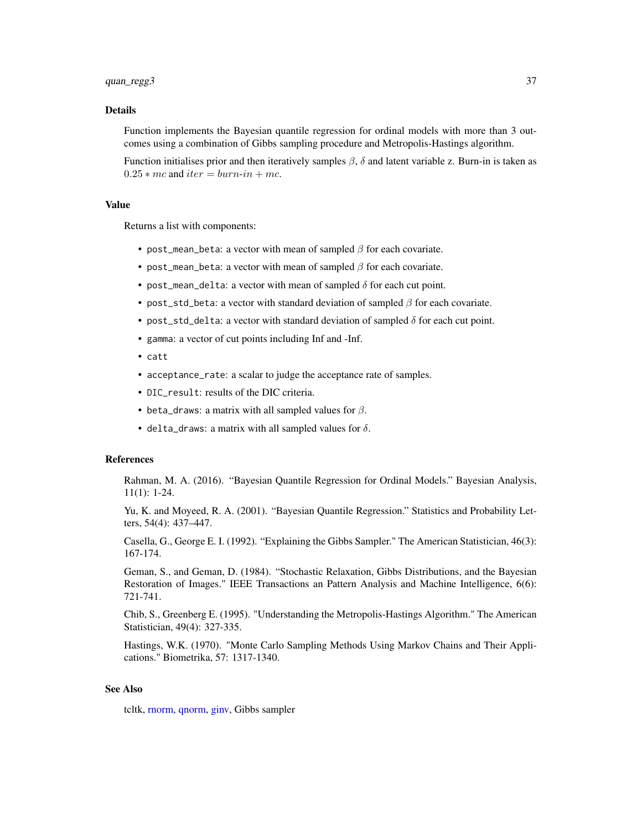#### <span id="page-36-0"></span>Details

Function implements the Bayesian quantile regression for ordinal models with more than 3 outcomes using a combination of Gibbs sampling procedure and Metropolis-Hastings algorithm.

Function initialises prior and then iteratively samples  $\beta$ ,  $\delta$  and latent variable z. Burn-in is taken as  $0.25 * mc$  and  $iter = burn-in + mc$ .

#### Value

Returns a list with components:

- post\_mean\_beta: a vector with mean of sampled  $\beta$  for each covariate.
- post\_mean\_beta: a vector with mean of sampled  $\beta$  for each covariate.
- post\_mean\_delta: a vector with mean of sampled  $\delta$  for each cut point.
- post\_std\_beta: a vector with standard deviation of sampled  $\beta$  for each covariate.
- post\_std\_delta: a vector with standard deviation of sampled  $\delta$  for each cut point.
- gamma: a vector of cut points including Inf and -Inf.
- catt
- acceptance\_rate: a scalar to judge the acceptance rate of samples.
- DIC\_result: results of the DIC criteria.
- beta\_draws: a matrix with all sampled values for  $\beta$ .
- delta\_draws: a matrix with all sampled values for  $\delta$ .

#### References

Rahman, M. A. (2016). "Bayesian Quantile Regression for Ordinal Models." Bayesian Analysis, 11(1): 1-24.

Yu, K. and Moyeed, R. A. (2001). "Bayesian Quantile Regression." Statistics and Probability Letters, 54(4): 437–447.

Casella, G., George E. I. (1992). "Explaining the Gibbs Sampler." The American Statistician, 46(3): 167-174.

Geman, S., and Geman, D. (1984). "Stochastic Relaxation, Gibbs Distributions, and the Bayesian Restoration of Images." IEEE Transactions an Pattern Analysis and Machine Intelligence, 6(6): 721-741.

Chib, S., Greenberg E. (1995). "Understanding the Metropolis-Hastings Algorithm." The American Statistician, 49(4): 327-335.

Hastings, W.K. (1970). "Monte Carlo Sampling Methods Using Markov Chains and Their Applications." Biometrika, 57: 1317-1340.

# See Also

tcltk, [rnorm,](#page-0-0) [qnorm,](#page-0-0) [ginv,](#page-0-0) Gibbs sampler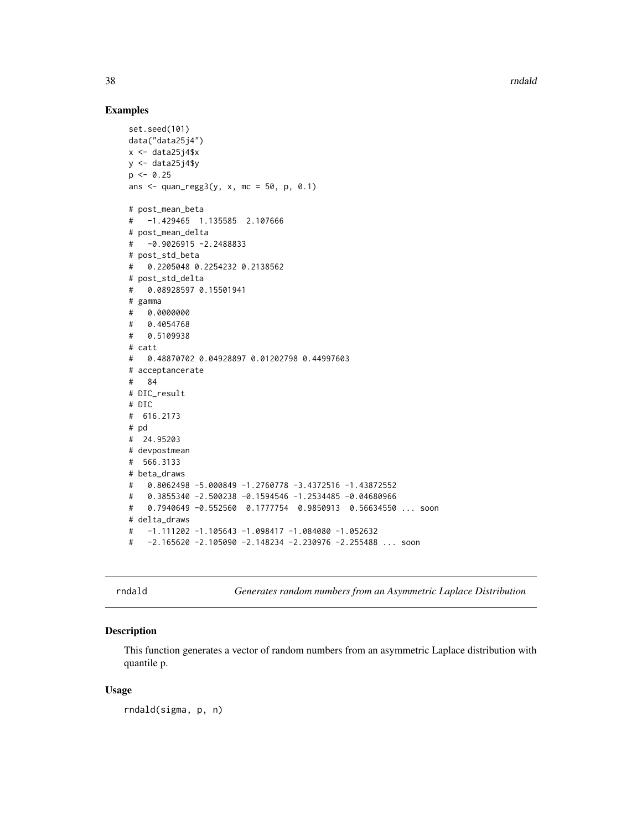#### Examples

```
set.seed(101)
data("data25j4")
x \leftarrow data25j4$x
y \leftarrow data25j4$y
p \le -0.25ans \leq quan_regg3(y, x, mc = 50, p, 0.1)
# post_mean_beta
# -1.429465 1.135585 2.107666
# post_mean_delta
# -0.9026915 -2.2488833
# post_std_beta
# 0.2205048 0.2254232 0.2138562
# post_std_delta
# 0.08928597 0.15501941
# gamma
# 0.0000000
# 0.4054768
# 0.5109938
# catt
# 0.48870702 0.04928897 0.01202798 0.44997603
# acceptancerate
# 84
# DIC_result
# DIC
# 616.2173
# pd
# 24.95203
# devpostmean
# 566.3133
# beta_draws
# 0.8062498 -5.000849 -1.2760778 -3.4372516 -1.43872552
# 0.3855340 -2.500238 -0.1594546 -1.2534485 -0.04680966
# 0.7940649 -0.552560 0.1777754 0.9850913 0.56634550 ... soon
# delta_draws
# -1.111202 -1.105643 -1.098417 -1.084080 -1.052632
# -2.165620 -2.105090 -2.148234 -2.230976 -2.255488 ... soon
```
rndald *Generates random numbers from an Asymmetric Laplace Distribution*

#### Description

This function generates a vector of random numbers from an asymmetric Laplace distribution with quantile p.

#### Usage

rndald(sigma, p, n)

<span id="page-37-0"></span>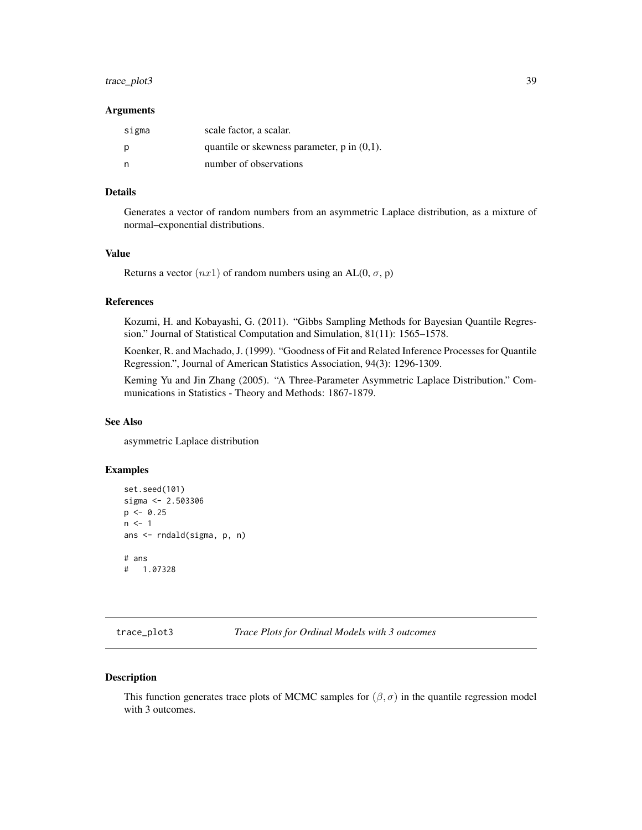# <span id="page-38-0"></span>trace\_plot3 39

#### Arguments

| sigma | scale factor, a scalar.                          |
|-------|--------------------------------------------------|
| D     | quantile or skewness parameter, $p$ in $(0,1)$ . |
|       | number of observations                           |

# Details

Generates a vector of random numbers from an asymmetric Laplace distribution, as a mixture of normal–exponential distributions.

# Value

Returns a vector  $(nx1)$  of random numbers using an AL(0,  $\sigma$ , p)

#### References

Kozumi, H. and Kobayashi, G. (2011). "Gibbs Sampling Methods for Bayesian Quantile Regression." Journal of Statistical Computation and Simulation, 81(11): 1565–1578.

Koenker, R. and Machado, J. (1999). "Goodness of Fit and Related Inference Processes for Quantile Regression.", Journal of American Statistics Association, 94(3): 1296-1309.

Keming Yu and Jin Zhang (2005). "A Three-Parameter Asymmetric Laplace Distribution." Communications in Statistics - Theory and Methods: 1867-1879.

# See Also

asymmetric Laplace distribution

# Examples

```
set.seed(101)
sigma <- 2.503306
p \le -0.25n < -1ans <- rndald(sigma, p, n)
# ans
# 1.07328
```
<span id="page-38-1"></span>

#### Description

This function generates trace plots of MCMC samples for  $(\beta, \sigma)$  in the quantile regression model with 3 outcomes.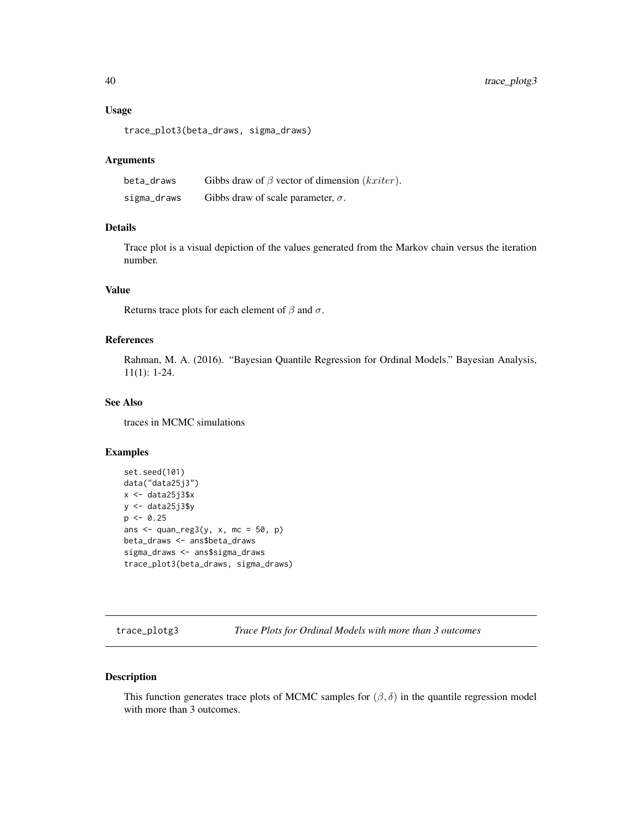#### <span id="page-39-0"></span>Usage

trace\_plot3(beta\_draws, sigma\_draws)

#### Arguments

| beta_draws  | Gibbs draw of $\beta$ vector of dimension ( <i>kxiter</i> ). |
|-------------|--------------------------------------------------------------|
| sigma_draws | Gibbs draw of scale parameter, $\sigma$ .                    |

# Details

Trace plot is a visual depiction of the values generated from the Markov chain versus the iteration number.

# Value

Returns trace plots for each element of  $\beta$  and  $\sigma$ .

# References

Rahman, M. A. (2016). "Bayesian Quantile Regression for Ordinal Models." Bayesian Analysis, 11(1): 1-24.

# See Also

traces in MCMC simulations

# Examples

```
set.seed(101)
data("data25j3")
x < - data25j3$xy <- data25j3$y
p \le -0.25ans \leq quan_reg3(y, x, mc = 50, p)
beta_draws <- ans$beta_draws
sigma_draws <- ans$sigma_draws
trace_plot3(beta_draws, sigma_draws)
```
<span id="page-39-1"></span>trace\_plotg3 *Trace Plots for Ordinal Models with more than 3 outcomes*

# Description

This function generates trace plots of MCMC samples for  $(\beta, \delta)$  in the quantile regression model with more than 3 outcomes.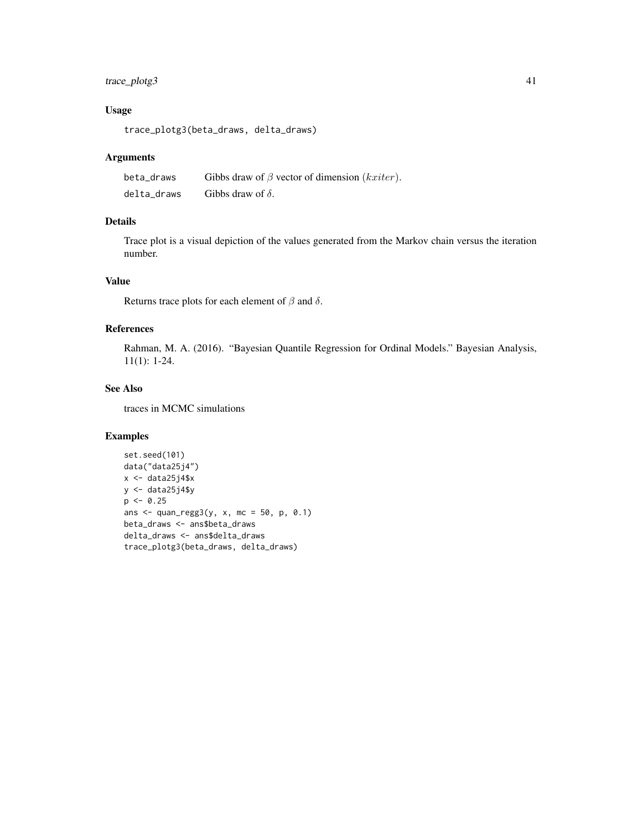# trace\_plotg3 41

# Usage

trace\_plotg3(beta\_draws, delta\_draws)

#### Arguments

| beta draws  | Gibbs draw of $\beta$ vector of dimension ( <i>kxiter</i> ). |
|-------------|--------------------------------------------------------------|
| delta draws | Gibbs draw of $\delta$ .                                     |

# Details

Trace plot is a visual depiction of the values generated from the Markov chain versus the iteration number.

# Value

Returns trace plots for each element of  $\beta$  and  $\delta$ .

# References

Rahman, M. A. (2016). "Bayesian Quantile Regression for Ordinal Models." Bayesian Analysis, 11(1): 1-24.

# See Also

traces in MCMC simulations

```
set.seed(101)
data("data25j4")
x \leftarrow data25j4$x
y <- data25j4$y
p \le -0.25ans \le quan_regg3(y, x, mc = 50, p, 0.1)
beta_draws <- ans$beta_draws
delta_draws <- ans$delta_draws
trace_plotg3(beta_draws, delta_draws)
```